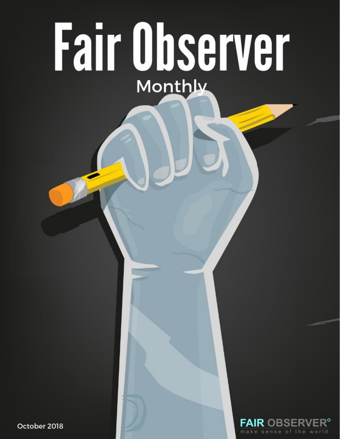# Fair Observer Monthly

October 2018

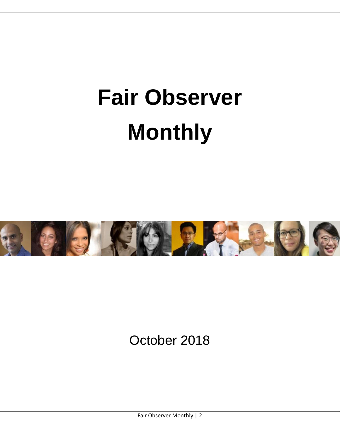## **Fair Observer Monthly**



October 2018

Fair Observer Monthly | 2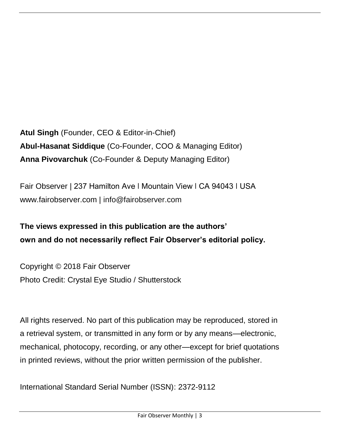**Atul Singh** (Founder, CEO & Editor-in-Chief) **Abul-Hasanat Siddique** (Co-Founder, COO & Managing Editor) **Anna Pivovarchuk** (Co-Founder & Deputy Managing Editor)

Fair Observer | 237 Hamilton Ave | Mountain View | CA 94043 | USA www.fairobserver.com | [info@fairobserver.com](mailto:info@fairobserver.com)

**The views expressed in this publication are the authors' own and do not necessarily reflect Fair Observer's editorial policy.**

Copyright © 2018 Fair Observer Photo Credit: Crystal Eye Studio / Shutterstock

All rights reserved. No part of this publication may be reproduced, stored in a retrieval system, or transmitted in any form or by any means—electronic, mechanical, photocopy, recording, or any other—except for brief quotations in printed reviews, without the prior written permission of the publisher.

International Standard Serial Number (ISSN): 2372-9112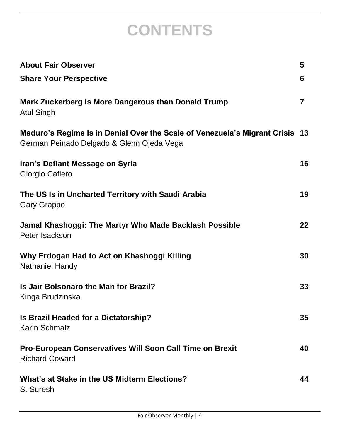## **CONTENTS**

| <b>About Fair Observer</b>                                                                                                | 5  |
|---------------------------------------------------------------------------------------------------------------------------|----|
| <b>Share Your Perspective</b>                                                                                             | 6  |
| <b>Mark Zuckerberg Is More Dangerous than Donald Trump</b><br><b>Atul Singh</b>                                           | 7  |
| Maduro's Regime Is in Denial Over the Scale of Venezuela's Migrant Crisis 13<br>German Peinado Delgado & Glenn Ojeda Vega |    |
| Iran's Defiant Message on Syria<br>Giorgio Cafiero                                                                        | 16 |
| The US Is in Uncharted Territory with Saudi Arabia<br><b>Gary Grappo</b>                                                  | 19 |
| Jamal Khashoggi: The Martyr Who Made Backlash Possible<br>Peter Isackson                                                  | 22 |
| Why Erdogan Had to Act on Khashoggi Killing<br><b>Nathaniel Handy</b>                                                     | 30 |
| Is Jair Bolsonaro the Man for Brazil?<br>Kinga Brudzinska                                                                 | 33 |
| Is Brazil Headed for a Dictatorship?<br><b>Karin Schmalz</b>                                                              | 35 |
| Pro-European Conservatives Will Soon Call Time on Brexit<br><b>Richard Coward</b>                                         | 40 |
| What's at Stake in the US Midterm Elections?<br>S. Suresh                                                                 | 44 |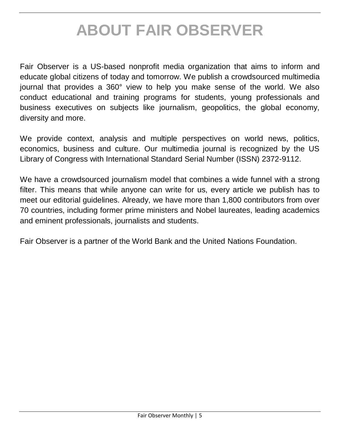### **ABOUT FAIR OBSERVER**

Fair Observer is a US-based nonprofit media organization that aims to inform and educate global citizens of today and tomorrow. We publish a crowdsourced multimedia journal that provides a 360° view to help you make sense of the world. We also conduct educational and training programs for students, young professionals and business executives on subjects like journalism, geopolitics, the global economy, diversity and more.

We provide context, analysis and multiple perspectives on world news, politics, economics, business and culture. Our multimedia journal is recognized by the US Library of Congress with International Standard Serial Number (ISSN) 2372-9112.

We have a crowdsourced journalism model that combines a wide funnel with a strong filter. This means that while anyone can write for us, every article we publish has to meet our editorial guidelines. Already, we have more than 1,800 contributors from over 70 countries, including former prime ministers and Nobel laureates, leading academics and eminent professionals, journalists and students.

Fair Observer is a partner of the World Bank and the United Nations Foundation.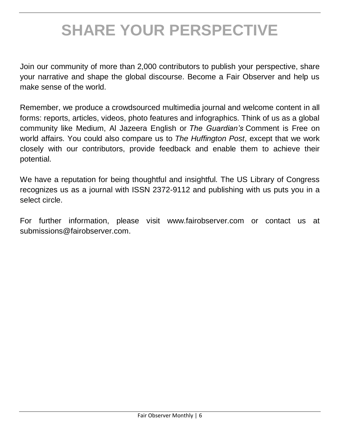## **SHARE YOUR PERSPECTIVE**

Join our community of more than 2,000 contributors to publish your perspective, share your narrative and shape the global discourse. Become a Fair Observer and help us make sense of the world.

Remember, we produce a crowdsourced multimedia journal and welcome content in all forms: reports, articles, videos, photo features and infographics. Think of us as a global community like Medium, Al Jazeera English or *The Guardian's* Comment is Free on world affairs. You could also compare us to *The Huffington Post*, except that we work closely with our contributors, provide feedback and enable them to achieve their potential.

We have a reputation for being thoughtful and insightful. The US Library of Congress recognizes us as a journal with ISSN 2372-9112 and publishing with us puts you in a select circle.

For further information, please visit www.fairobserver.com or contact us at [submissions@fairobserver.com.](mailto:submissions@fairobserver.com)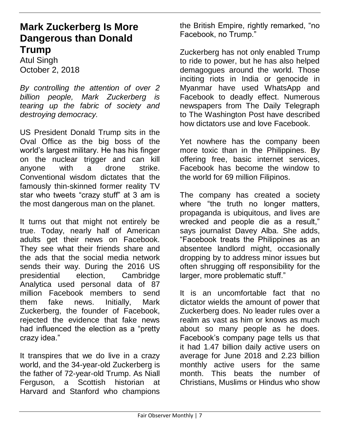#### **Mark Zuckerberg Is More Dangerous than Donald Trump**

Atul Singh October 2, 2018

*By controlling the attention of over 2 billion people, Mark Zuckerberg is tearing up the fabric of society and destroying democracy.*

US President Donald Trump sits in the Oval Office as the big boss of the world's largest military. He has his finger on the nuclear trigger and can kill anyone with a drone strike. Conventional wisdom dictates that the famously thin-skinned former reality TV star who tweets "crazy stuff" at 3 am is the most dangerous man on the planet.

It turns out that might not entirely be true. Today, nearly half of American adults get their news on Facebook. They see what their friends share and the ads that the social media network sends their way. During the 2016 US presidential election, Cambridge Analytica used personal data of 87 million Facebook members to send them fake news. Initially, Mark Zuckerberg, the founder of Facebook, rejected the evidence that fake news had influenced the election as a "pretty crazy idea."

It transpires that we do live in a crazy world, and the 34-year-old Zuckerberg is the father of 72-year-old Trump. As Niall Ferguson, a Scottish historian at Harvard and Stanford who champions

the British Empire, rightly remarked, "no Facebook, no Trump."

Zuckerberg has not only enabled Trump to ride to power, but he has also helped demagogues around the world. Those inciting riots in India or genocide in Myanmar have used WhatsApp and Facebook to deadly effect. Numerous newspapers from The Daily Telegraph to The Washington Post have described how dictators use and love Facebook.

Yet nowhere has the company been more toxic than in the Philippines. By offering free, basic internet services, Facebook has become the window to the world for 69 million Filipinos.

The company has created a society where "the truth no longer matters, propaganda is ubiquitous, and lives are wrecked and people die as a result," says journalist Davey Alba. She adds, "Facebook treats the Philippines as an absentee landlord might, occasionally dropping by to address minor issues but often shrugging off responsibility for the larger, more problematic stuff."

It is an uncomfortable fact that no dictator wields the amount of power that Zuckerberg does. No leader rules over a realm as vast as him or knows as much about so many people as he does. Facebook's company page tells us that it had 1.47 billion daily active users on average for June 2018 and 2.23 billion monthly active users for the same month. This beats the number of Christians, Muslims or Hindus who show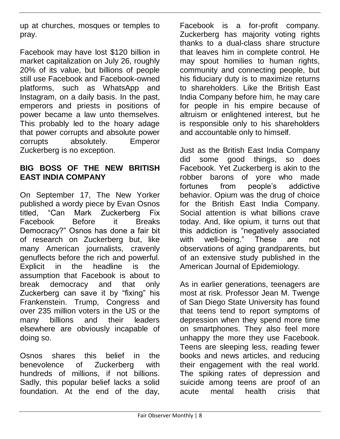up at churches, mosques or temples to pray.

Facebook may have lost \$120 billion in market capitalization on July 26, roughly 20% of its value, but billions of people still use Facebook and Facebook-owned platforms, such as WhatsApp and Instagram, on a daily basis. In the past, emperors and priests in positions of power became a law unto themselves. This probably led to the hoary adage that power corrupts and absolute power corrupts absolutely. Emperor Zuckerberg is no exception.

#### **BIG BOSS OF THE NEW BRITISH EAST INDIA COMPANY**

On September 17, The New Yorker published a wordy piece by Evan Osnos titled, "Can Mark Zuckerberg Fix Facebook Before it Breaks Democracy?" Osnos has done a fair bit of research on Zuckerberg but, like many American journalists, cravenly genuflects before the rich and powerful. Explicit in the headline is the assumption that Facebook is about to break democracy and that only Zuckerberg can save it by "fixing" his Frankenstein. Trump, Congress and over 235 million voters in the US or the many billions and their leaders elsewhere are obviously incapable of doing so.

Osnos shares this belief in the benevolence of Zuckerberg with hundreds of millions, if not billions. Sadly, this popular belief lacks a solid foundation. At the end of the day,

Facebook is a for-profit company. Zuckerberg has majority voting rights thanks to a dual-class share structure that leaves him in complete control. He may spout homilies to human rights, community and connecting people, but his fiduciary duty is to maximize returns to shareholders. Like the British East India Company before him, he may care for people in his empire because of altruism or enlightened interest, but he is responsible only to his shareholders and accountable only to himself.

Just as the British East India Company did some good things, so does Facebook. Yet Zuckerberg is akin to the robber barons of yore who made fortunes from people's addictive behavior. Opium was the drug of choice for the British East India Company. Social attention is what billions crave today. And, like opium, it turns out that this addiction is "negatively associated with well-being." These are not observations of aging grandparents, but of an extensive study published in the American Journal of Epidemiology.

As in earlier generations, teenagers are most at risk. Professor Jean M. Twenge of San Diego State University has found that teens tend to report symptoms of depression when they spend more time on smartphones. They also feel more unhappy the more they use Facebook. Teens are sleeping less, reading fewer books and news articles, and reducing their engagement with the real world. The spiking rates of depression and suicide among teens are proof of an acute mental health crisis that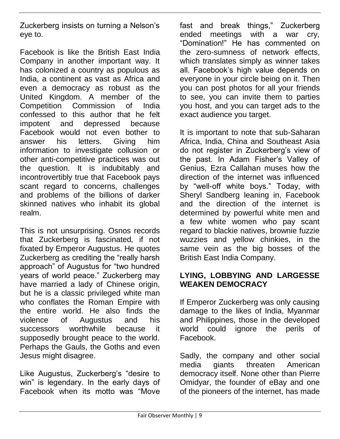Zuckerberg insists on turning a Nelson's eye to.

Facebook is like the British East India Company in another important way. It has colonized a country as populous as India, a continent as vast as Africa and even a democracy as robust as the United Kingdom. A member of the Competition Commission of India confessed to this author that he felt impotent and depressed because Facebook would not even bother to answer his letters. Giving him information to investigate collusion or other anti-competitive practices was out the question. It is indubitably and incontrovertibly true that Facebook pays scant regard to concerns, challenges and problems of the billions of darker skinned natives who inhabit its global realm.

This is not unsurprising. Osnos records that Zuckerberg is fascinated, if not fixated by Emperor Augustus. He quotes Zuckerberg as crediting the "really harsh approach" of Augustus for "two hundred years of world peace." Zuckerberg may have married a lady of Chinese origin, but he is a classic privileged white man who conflates the Roman Empire with the entire world. He also finds the violence of Augustus and his successors worthwhile because it supposedly brought peace to the world. Perhaps the Gauls, the Goths and even Jesus might disagree.

Like Augustus, Zuckerberg's "desire to win" is legendary. In the early days of Facebook when its motto was "Move

fast and break things," Zuckerberg ended meetings with a war cry, "Domination!" He has commented on the zero-sumness of network effects, which translates simply as winner takes all. Facebook's high value depends on everyone in your circle being on it. Then you can post photos for all your friends to see, you can invite them to parties you host, and you can target ads to the exact audience you target.

It is important to note that sub-Saharan Africa, India, China and Southeast Asia do not register in Zuckerberg's view of the past. In Adam Fisher's Valley of Genius, Ezra Callahan muses how the direction of the internet was influenced by "well-off white boys." Today, with Sheryl Sandberg leaning in, Facebook and the direction of the internet is determined by powerful white men and a few white women who pay scant regard to blackie natives, brownie fuzzie wuzzies and yellow chinkies, in the same vein as the big bosses of the British East India Company.

#### **LYING, LOBBYING AND LARGESSE WEAKEN DEMOCRACY**

If Emperor Zuckerberg was only causing damage to the likes of India, Myanmar and Philippines, those in the developed world could ignore the perils of Facebook.

Sadly, the company and other social media giants threaten American democracy itself. None other than Pierre Omidyar, the founder of eBay and one of the pioneers of the internet, has made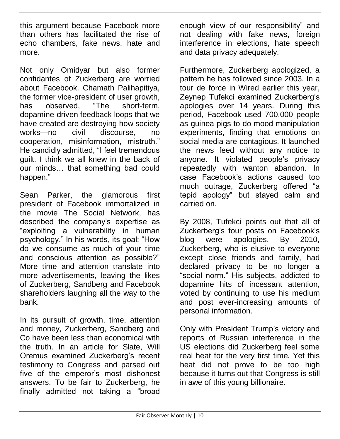this argument because Facebook more than others has facilitated the rise of echo chambers, fake news, hate and more.

Not only Omidyar but also former confidantes of Zuckerberg are worried about Facebook. Chamath Palihapitiya, the former vice-president of user growth, has observed, "The short-term, dopamine-driven feedback loops that we have created are destroying how society works—no civil discourse, no cooperation, misinformation, mistruth." He candidly admitted, "I feel tremendous guilt. I think we all knew in the back of our minds… that something bad could happen."

Sean Parker, the glamorous first president of Facebook immortalized in the movie The Social Network, has described the company's expertise as "exploiting a vulnerability in human psychology." In his words, its goal: "How do we consume as much of your time and conscious attention as possible?" More time and attention translate into more advertisements, leaving the likes of Zuckerberg, Sandberg and Facebook shareholders laughing all the way to the bank.

In its pursuit of growth, time, attention and money, Zuckerberg, Sandberg and Co have been less than economical with the truth. In an article for Slate, Will Oremus examined Zuckerberg's recent testimony to Congress and parsed out five of the emperor's most dishonest answers. To be fair to Zuckerberg, he finally admitted not taking a "broad

enough view of our responsibility" and not dealing with fake news, foreign interference in elections, hate speech and data privacy adequately.

Furthermore, Zuckerberg apologized, a pattern he has followed since 2003. In a tour de force in Wired earlier this year, Zeynep Tufekci examined Zuckerberg's apologies over 14 years. During this period, Facebook used 700,000 people as guinea pigs to do mood manipulation experiments, finding that emotions on social media are contagious. It launched the news feed without any notice to anyone. It violated people's privacy repeatedly with wanton abandon. In case Facebook's actions caused too much outrage, Zuckerberg offered "a tepid apology" but stayed calm and carried on.

By 2008, Tufekci points out that all of Zuckerberg's four posts on Facebook's blog were apologies. By 2010, Zuckerberg, who is elusive to everyone except close friends and family, had declared privacy to be no longer a "social norm." His subjects, addicted to dopamine hits of incessant attention, voted by continuing to use his medium and post ever-increasing amounts of personal information.

Only with President Trump's victory and reports of Russian interference in the US elections did Zuckerberg feel some real heat for the very first time. Yet this heat did not prove to be too high because it turns out that Congress is still in awe of this young billionaire.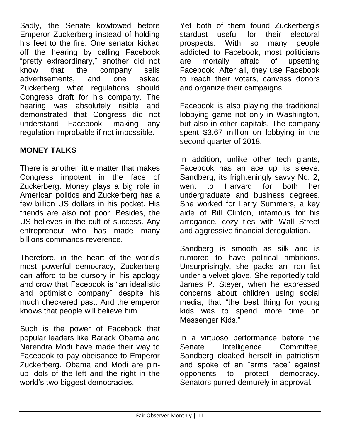Sadly, the Senate kowtowed before Emperor Zuckerberg instead of holding his feet to the fire. One senator kicked off the hearing by calling Facebook "pretty extraordinary," another did not know that the company sells advertisements, and one asked Zuckerberg what regulations should Congress draft for his company. The hearing was absolutely risible and demonstrated that Congress did not understand Facebook, making any regulation improbable if not impossible.

#### **MONEY TALKS**

There is another little matter that makes Congress impotent in the face of Zuckerberg. Money plays a big role in American politics and Zuckerberg has a few billion US dollars in his pocket. His friends are also not poor. Besides, the US believes in the cult of success. Any entrepreneur who has made many billions commands reverence.

Therefore, in the heart of the world's most powerful democracy, Zuckerberg can afford to be cursory in his apology and crow that Facebook is "an idealistic and optimistic company" despite his much checkered past. And the emperor knows that people will believe him.

Such is the power of Facebook that popular leaders like Barack Obama and Narendra Modi have made their way to Facebook to pay obeisance to Emperor Zuckerberg. Obama and Modi are pinup idols of the left and the right in the world's two biggest democracies.

Yet both of them found Zuckerberg's stardust useful for their electoral prospects. With so many people addicted to Facebook, most politicians are mortally afraid of upsetting Facebook. After all, they use Facebook to reach their voters, canvass donors and organize their campaigns.

Facebook is also playing the traditional lobbying game not only in Washington, but also in other capitals. The company spent \$3.67 million on lobbying in the second quarter of 2018.

In addition, unlike other tech giants, Facebook has an ace up its sleeve. Sandberg, its frighteningly savvy No. 2, went to Harvard for both her undergraduate and business degrees. She worked for Larry Summers, a key aide of Bill Clinton, infamous for his arrogance, cozy ties with Wall Street and aggressive financial deregulation.

Sandberg is smooth as silk and is rumored to have political ambitions. Unsurprisingly, she packs an iron fist under a velvet glove. She reportedly told James P. Steyer, when he expressed concerns about children using social media, that "the best thing for young kids was to spend more time on Messenger Kids."

In a virtuoso performance before the Senate Intelligence Committee, Sandberg cloaked herself in patriotism and spoke of an "arms race" against opponents to protect democracy. Senators purred demurely in approval.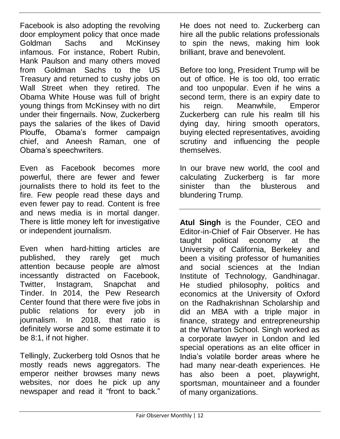Facebook is also adopting the revolving door employment policy that once made Goldman Sachs and McKinsey infamous. For instance, Robert Rubin, Hank Paulson and many others moved from Goldman Sachs to the US Treasury and returned to cushy jobs on Wall Street when they retired. The Obama White House was full of bright young things from McKinsey with no dirt under their fingernails. Now, Zuckerberg pays the salaries of the likes of David Plouffe, Obama's former campaign chief, and Aneesh Raman, one of Obama's speechwriters.

Even as Facebook becomes more powerful, there are fewer and fewer journalists there to hold its feet to the fire. Few people read these days and even fewer pay to read. Content is free and news media is in mortal danger. There is little money left for investigative or independent journalism.

Even when hard-hitting articles are published, they rarely get much attention because people are almost incessantly distracted on Facebook, Twitter, Instagram, Snapchat and Tinder. In 2014, the Pew Research Center found that there were five jobs in public relations for every job in journalism. In 2018, that ratio is definitely worse and some estimate it to be 8:1, if not higher.

Tellingly, Zuckerberg told Osnos that he mostly reads news aggregators. The emperor neither browses many news websites, nor does he pick up any newspaper and read it "front to back."

He does not need to. Zuckerberg can hire all the public relations professionals to spin the news, making him look brilliant, brave and benevolent.

Before too long, President Trump will be out of office. He is too old, too erratic and too unpopular. Even if he wins a second term, there is an expiry date to his reign. Meanwhile, Emperor Zuckerberg can rule his realm till his dying day, hiring smooth operators, buying elected representatives, avoiding scrutiny and influencing the people themselves.

In our brave new world, the cool and calculating Zuckerberg is far more sinister than the blusterous and blundering Trump.

**Atul Singh** is the Founder, CEO and Editor-in-Chief of Fair Observer. He has taught political economy at the University of California, Berkeley and been a visiting professor of humanities and social sciences at the Indian Institute of Technology, Gandhinagar. He studied philosophy, politics and economics at the University of Oxford on the Radhakrishnan Scholarship and did an MBA with a triple major in finance, strategy and entrepreneurship at the Wharton School. Singh worked as a corporate lawyer in London and led special operations as an elite officer in India's volatile border areas where he had many near-death experiences. He has also been a poet, playwright, sportsman, mountaineer and a founder of many organizations.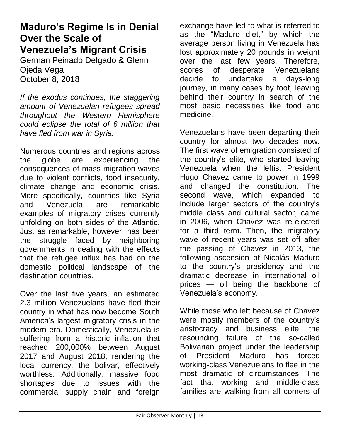#### **Maduro's Regime Is in Denial Over the Scale of Venezuela's Migrant Crisis**

German Peinado Delgado & Glenn Ojeda Vega October 8, 2018

*If the exodus continues, the staggering amount of Venezuelan refugees spread throughout the Western Hemisphere could eclipse the total of 6 million that have fled from war in Syria.*

Numerous countries and regions across the globe are experiencing the consequences of mass migration waves due to violent conflicts, food insecurity, climate change and economic crisis. More specifically, countries like Syria and Venezuela are remarkable examples of migratory crises currently unfolding on both sides of the Atlantic. Just as remarkable, however, has been the struggle faced by neighboring governments in dealing with the effects that the refugee influx has had on the domestic political landscape of the destination countries.

Over the last five years, an estimated 2.3 million Venezuelans have fled their country in what has now become South America's largest migratory crisis in the modern era. Domestically, Venezuela is suffering from a historic inflation that reached 200,000% between August 2017 and August 2018, rendering the local currency, the bolivar, effectively worthless. Additionally, massive food shortages due to issues with the commercial supply chain and foreign

exchange have led to what is referred to as the "Maduro diet," by which the average person living in Venezuela has lost approximately 20 pounds in weight over the last few years. Therefore, scores of desperate Venezuelans decide to undertake a days-long journey, in many cases by foot, leaving behind their country in search of the most basic necessities like food and medicine.

Venezuelans have been departing their country for almost two decades now. The first wave of emigration consisted of the country's elite, who started leaving Venezuela when the leftist President Hugo Chavez came to power in 1999 and changed the constitution. The second wave, which expanded to include larger sectors of the country's middle class and cultural sector, came in 2006, when Chavez was re-elected for a third term. Then, the migratory wave of recent years was set off after the passing of Chavez in 2013, the following ascension of Nicolás Maduro to the country's presidency and the dramatic decrease in international oil prices — oil being the backbone of Venezuela's economy.

While those who left because of Chavez were mostly members of the country's aristocracy and business elite, the resounding failure of the so-called Bolivarian project under the leadership of President Maduro has forced working-class Venezuelans to flee in the most dramatic of circumstances. The fact that working and middle-class families are walking from all corners of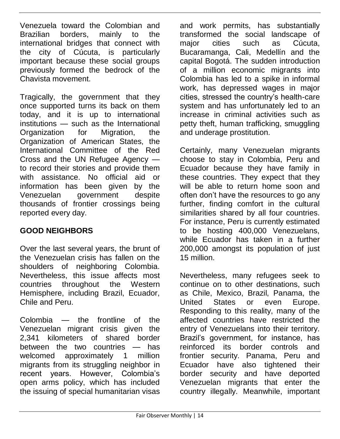Venezuela toward the Colombian and Brazilian borders, mainly to the international bridges that connect with the city of Cúcuta, is particularly important because these social groups previously formed the bedrock of the Chavista movement.

Tragically, the government that they once supported turns its back on them today, and it is up to international institutions — such as the International Organization for Migration, the Organization of American States, the International Committee of the Red Cross and the UN Refugee Agency to record their stories and provide them with assistance. No official aid or information has been given by the Venezuelan government despite thousands of frontier crossings being reported every day.

#### **GOOD NEIGHBORS**

Over the last several years, the brunt of the Venezuelan crisis has fallen on the shoulders of neighboring Colombia. Nevertheless, this issue affects most countries throughout the Western Hemisphere, including Brazil, Ecuador, Chile and Peru.

Colombia — the frontline of the Venezuelan migrant crisis given the 2,341 kilometers of shared border between the two countries — has welcomed approximately 1 million migrants from its struggling neighbor in recent years. However, Colombia's open arms policy, which has included the issuing of special humanitarian visas

and work permits, has substantially transformed the social landscape of major cities such as Cúcuta. Bucaramanga, Cali, Medellín and the capital Bogotá. The sudden introduction of a million economic migrants into Colombia has led to a spike in informal work, has depressed wages in major cities, stressed the country's health-care system and has unfortunately led to an increase in criminal activities such as petty theft, human trafficking, smuggling and underage prostitution.

Certainly, many Venezuelan migrants choose to stay in Colombia, Peru and Ecuador because they have family in these countries. They expect that they will be able to return home soon and often don't have the resources to go any further, finding comfort in the cultural similarities shared by all four countries. For instance, Peru is currently estimated to be hosting 400,000 Venezuelans, while Ecuador has taken in a further 200,000 amongst its population of just 15 million.

Nevertheless, many refugees seek to continue on to other destinations, such as Chile, Mexico, Brazil, Panama, the United States or even Europe. Responding to this reality, many of the affected countries have restricted the entry of Venezuelans into their territory. Brazil's government, for instance, has reinforced its border controls and frontier security. Panama, Peru and Ecuador have also tightened their border security and have deported Venezuelan migrants that enter the country illegally. Meanwhile, important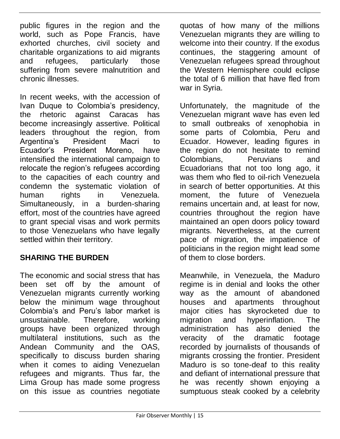public figures in the region and the world, such as Pope Francis, have exhorted churches, civil society and charitable organizations to aid migrants and refugees, particularly those suffering from severe malnutrition and chronic illnesses.

In recent weeks, with the accession of Ivan Duque to Colombia's presidency, the rhetoric against Caracas has become increasingly assertive. Political leaders throughout the region, from Argentina's President Macri to Ecuador's President Moreno, have intensified the international campaign to relocate the region's refugees according to the capacities of each country and condemn the systematic violation of human rights in Venezuela. Simultaneously, in a burden-sharing effort, most of the countries have agreed to grant special visas and work permits to those Venezuelans who have legally settled within their territory.

#### **SHARING THE BURDEN**

The economic and social stress that has been set off by the amount of Venezuelan migrants currently working below the minimum wage throughout Colombia's and Peru's labor market is unsustainable. Therefore, working groups have been organized through multilateral institutions, such as the Andean Community and the OAS, specifically to discuss burden sharing when it comes to aiding Venezuelan refugees and migrants. Thus far, the Lima Group has made some progress on this issue as countries negotiate

quotas of how many of the millions Venezuelan migrants they are willing to welcome into their country. If the exodus continues, the staggering amount of Venezuelan refugees spread throughout the Western Hemisphere could eclipse the total of 6 million that have fled from war in Syria.

Unfortunately, the magnitude of the Venezuelan migrant wave has even led to small outbreaks of xenophobia in some parts of Colombia, Peru and Ecuador. However, leading figures in the region do not hesitate to remind Colombians, Peruvians and Ecuadorians that not too long ago, it was them who fled to oil-rich Venezuela in search of better opportunities. At this moment, the future of Venezuela remains uncertain and, at least for now, countries throughout the region have maintained an open doors policy toward migrants. Nevertheless, at the current pace of migration, the impatience of politicians in the region might lead some of them to close borders.

Meanwhile, in Venezuela, the Maduro regime is in denial and looks the other way as the amount of abandoned houses and apartments throughout major cities has skyrocketed due to migration and hyperinflation. The administration has also denied the veracity of the dramatic footage recorded by journalists of thousands of migrants crossing the frontier. President Maduro is so tone-deaf to this reality and defiant of international pressure that he was recently shown enjoying a sumptuous steak cooked by a celebrity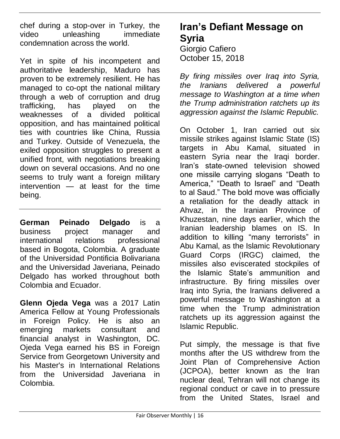chef during a stop-over in Turkey, the video unleashing immediate condemnation across the world.

Yet in spite of his incompetent and authoritative leadership, Maduro has proven to be extremely resilient. He has managed to co-opt the national military through a web of corruption and drug trafficking, has played on the weaknesses of a divided political opposition, and has maintained political ties with countries like China, Russia and Turkey. Outside of Venezuela, the exiled opposition struggles to present a unified front, with negotiations breaking down on several occasions. And no one seems to truly want a foreign military intervention — at least for the time being.

**German Peinado Delgado** is a business project manager and international relations professional based in Bogota, Colombia. A graduate of the Universidad Pontificia Bolivariana and the Universidad Javeriana, Peinado Delgado has worked throughout both Colombia and Ecuador.

**Glenn Ojeda Vega** was a 2017 Latin America Fellow at Young Professionals in Foreign Policy. He is also an emerging markets consultant and financial analyst in Washington, DC. Ojeda Vega earned his BS in Foreign Service from Georgetown University and his Master's in International Relations from the Universidad Javeriana in Colombia.

#### **Iran's Defiant Message on Syria**

Giorgio Cafiero October 15, 2018

*By firing missiles over Iraq into Syria, the Iranians delivered a powerful message to Washington at a time when the Trump administration ratchets up its aggression against the Islamic Republic.*

On October 1, Iran carried out six missile strikes against Islamic State (IS) targets in Abu Kamal, situated in eastern Syria near the Iraqi border. Iran's state-owned television showed one missile carrying slogans "Death to America," "Death to Israel" and "Death to al Saud." The bold move was officially a retaliation for the deadly attack in Ahvaz, in the Iranian Province of Khuzestan, nine days earlier, which the Iranian leadership blames on IS. In addition to killing "many terrorists" in Abu Kamal, as the Islamic Revolutionary Guard Corps (IRGC) claimed, the missiles also eviscerated stockpiles of the Islamic State's ammunition and infrastructure. By firing missiles over Iraq into Syria, the Iranians delivered a powerful message to Washington at a time when the Trump administration ratchets up its aggression against the Islamic Republic.

Put simply, the message is that five months after the US withdrew from the Joint Plan of Comprehensive Action (JCPOA), better known as the Iran nuclear deal, Tehran will not change its regional conduct or cave in to pressure from the United States, Israel and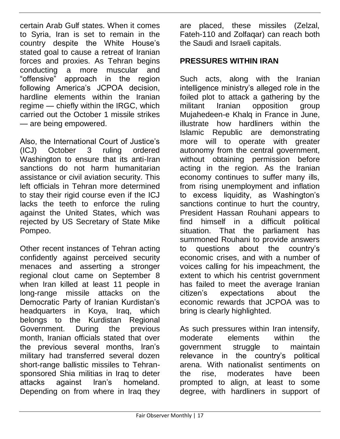certain Arab Gulf states. When it comes to Syria, Iran is set to remain in the country despite the White House's stated goal to cause a retreat of Iranian forces and proxies. As Tehran begins conducting a more muscular and "offensive" approach in the region following America's JCPOA decision, hardline elements within the Iranian regime — chiefly within the IRGC, which carried out the October 1 missile strikes — are being empowered.

Also, the International Court of Justice's (ICJ) October 3 ruling ordered Washington to ensure that its anti-Iran sanctions do not harm humanitarian assistance or civil aviation security. This left officials in Tehran more determined to stay their rigid course even if the ICJ lacks the teeth to enforce the ruling against the United States, which was rejected by US Secretary of State Mike Pompeo.

Other recent instances of Tehran acting confidently against perceived security menaces and asserting a stronger regional clout came on September 8 when Iran killed at least 11 people in long-range missile attacks on the Democratic Party of Iranian Kurdistan's headquarters in Koya, Iraq, which belongs to the Kurdistan Regional Government. During the previous month, Iranian officials stated that over the previous several months, Iran's military had transferred several dozen short-range ballistic missiles to Tehransponsored Shia militias in Iraq to deter<br>attacks against Iran's homeland. homeland. Depending on from where in Iraq they

are placed, these missiles (Zelzal, Fateh-110 and Zolfaqar) can reach both the Saudi and Israeli capitals.

#### **PRESSURES WITHIN IRAN**

Such acts, along with the Iranian intelligence ministry's alleged role in the foiled plot to attack a gathering by the militant Iranian opposition group Mujahedeen-e Khalq in France in June, illustrate how hardliners within the Islamic Republic are demonstrating more will to operate with greater autonomy from the central government, without obtaining permission before acting in the region. As the Iranian economy continues to suffer many ills, from rising unemployment and inflation to excess liquidity, as Washington's sanctions continue to hurt the country, President Hassan Rouhani appears to<br>find himself in a difficult political find himself in a difficult political situation. That the summoned Rouhani to provide answers to questions about the country's economic crises, and with a number of voices calling for his impeachment, the extent to which his centrist government has failed to meet the average Iranian citizen's expectations about the economic rewards that JCPOA was to bring is clearly highlighted.

As such pressures within Iran intensify, moderate elements within the government struggle to maintain relevance in the country's political arena. With nationalist sentiments on the rise, moderates have been prompted to align, at least to some degree, with hardliners in support of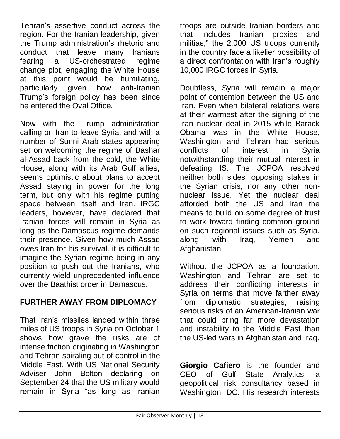Tehran's assertive conduct across the region. For the Iranian leadership, given the Trump administration's rhetoric and conduct that leave many Iranians fearing a US-orchestrated regime change plot, engaging the White House at this point would be humiliating, particularly given how anti-Iranian Trump's foreign policy has been since he entered the Oval Office.

Now with the Trump administration calling on Iran to leave Syria, and with a number of Sunni Arab states appearing set on welcoming the regime of Bashar al-Assad back from the cold, the White House, along with its Arab Gulf allies, seems optimistic about plans to accept Assad staying in power for the long term, but only with his regime putting space between itself and Iran. IRGC leaders, however, have declared that Iranian forces will remain in Syria as long as the Damascus regime demands their presence. Given how much Assad owes Iran for his survival, it is difficult to imagine the Syrian regime being in any position to push out the Iranians, who currently wield unprecedented influence over the Baathist order in Damascus.

#### **FURTHER AWAY FROM DIPLOMACY**

That Iran's missiles landed within three miles of US troops in Syria on October 1 shows how grave the risks are of intense friction originating in Washington and Tehran spiraling out of control in the Middle East. With US National Security Adviser John Bolton declaring on September 24 that the US military would remain in Syria "as long as Iranian

troops are outside Iranian borders and that includes Iranian proxies and militias," the 2,000 US troops currently in the country face a likelier possibility of a direct confrontation with Iran's roughly 10,000 IRGC forces in Syria.

Doubtless, Syria will remain a major point of contention between the US and Iran. Even when bilateral relations were at their warmest after the signing of the Iran nuclear deal in 2015 while Barack Obama was in the White House, Washington and Tehran had serious conflicts of interest in Syria notwithstanding their mutual interest in defeating IS. The JCPOA resolved neither both sides' opposing stakes in the Syrian crisis, nor any other nonnuclear issue. Yet the nuclear deal afforded both the US and Iran the means to build on some degree of trust to work toward finding common ground on such regional issues such as Syria, along with Iraq, Yemen and Afghanistan.

Without the JCPOA as a foundation, Washington and Tehran are set to address their conflicting interests in Syria on terms that move farther away from diplomatic strategies, raising serious risks of an American-Iranian war that could bring far more devastation and instability to the Middle East than the US-led wars in Afghanistan and Iraq.

**Giorgio Cafiero** is the founder and CEO of Gulf State Analytics, a geopolitical risk consultancy based in Washington, DC. His research interests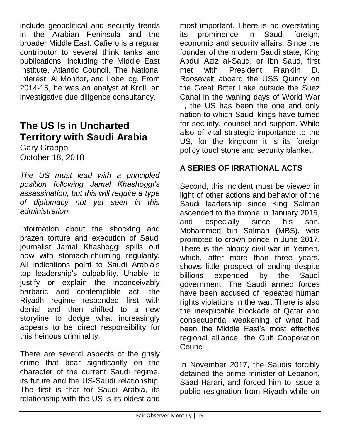include geopolitical and security trends in the Arabian Peninsula and the broader Middle East. Cafiero is a regular contributor to several think tanks and publications, including the Middle East Institute, Atlantic Council, The National Interest, Al Monitor, and LobeLog. From 2014-15, he was an analyst at Kroll, an investigative due diligence consultancy.

#### **The US Is in Uncharted Territory with Saudi Arabia**

Gary Grappo October 18, 2018

*The US must lead with a principled position following Jamal Khashoggi's assassination, but this will require a type of diplomacy not yet seen in this administration.*

Information about the shocking and brazen torture and execution of Saudi journalist Jamal Khashoggi spills out now with stomach-churning regularity. All indications point to Saudi Arabia's top leadership's culpability. Unable to justify or explain the inconceivably barbaric and contemptible act, the Riyadh regime responded first with denial and then shifted to a new storyline to dodge what increasingly appears to be direct responsibility for this heinous criminality.

There are several aspects of the grisly crime that bear significantly on the character of the current Saudi regime, its future and the US-Saudi relationship. The first is that for Saudi Arabia, its relationship with the US is its oldest and

most important. There is no overstating its prominence in Saudi foreign, economic and security affairs. Since the founder of the modern Saudi state, King Abdul Aziz al-Saud, or Ibn Saud, first met with President Franklin D. Roosevelt aboard the USS Quincy on the Great Bitter Lake outside the Suez Canal in the waning days of World War II, the US has been the one and only nation to which Saudi kings have turned for security, counsel and support. While also of vital strategic importance to the US, for the kingdom it is its foreign policy touchstone and security blanket.

#### **A SERIES OF IRRATIONAL ACTS**

Second, this incident must be viewed in light of other actions and behavior of the Saudi leadership since King Salman ascended to the throne in January 2015, and especially since his son, Mohammed bin Salman (MBS), was promoted to crown prince in June 2017. There is the bloody civil war in Yemen, which, after more than three years, shows little prospect of ending despite billions expended by the Saudi government. The Saudi armed forces have been accused of repeated human rights violations in the war. There is also the inexplicable blockade of Qatar and consequential weakening of what had been the Middle East's most effective regional alliance, the Gulf Cooperation Council.

In November 2017, the Saudis forcibly detained the prime minister of Lebanon, Saad Harari, and forced him to issue a public resignation from Riyadh while on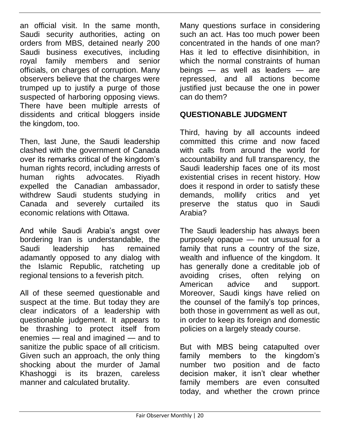an official visit. In the same month, Saudi security authorities, acting on orders from MBS, detained nearly 200 Saudi business executives, including royal family members and senior officials, on charges of corruption. Many observers believe that the charges were trumped up to justify a purge of those suspected of harboring opposing views. There have been multiple arrests of dissidents and critical bloggers inside the kingdom, too.

Then, last June, the Saudi leadership clashed with the government of Canada over its remarks critical of the kingdom's human rights record, including arrests of human rights advocates. Riyadh expelled the Canadian ambassador, withdrew Saudi students studying in Canada and severely curtailed its economic relations with Ottawa.

And while Saudi Arabia's angst over bordering Iran is understandable, the Saudi leadership has remained adamantly opposed to any dialog with the Islamic Republic, ratcheting up regional tensions to a feverish pitch.

All of these seemed questionable and suspect at the time. But today they are clear indicators of a leadership with questionable judgement. It appears to be thrashing to protect itself from enemies — real and imagined — and to sanitize the public space of all criticism. Given such an approach, the only thing shocking about the murder of Jamal Khashoggi is its brazen, careless manner and calculated brutality.

Many questions surface in considering such an act. Has too much power been concentrated in the hands of one man? Has it led to effective disinhibition, in which the normal constraints of human beings — as well as leaders — are repressed, and all actions become justified just because the one in power can do them?

#### **QUESTIONABLE JUDGMENT**

Third, having by all accounts indeed committed this crime and now faced with calls from around the world for accountability and full transparency, the Saudi leadership faces one of its most existential crises in recent history. How does it respond in order to satisfy these demands, mollify critics and yet preserve the status quo in Saudi Arabia?

The Saudi leadership has always been purposely opaque — not unusual for a family that runs a country of the size, wealth and influence of the kingdom. It has generally done a creditable job of avoiding crises, often relying on American advice and support. Moreover, Saudi kings have relied on the counsel of the family's top princes, both those in government as well as out, in order to keep its foreign and domestic policies on a largely steady course.

But with MBS being catapulted over family members to the kingdom's number two position and de facto decision maker, it isn't clear whether family members are even consulted today, and whether the crown prince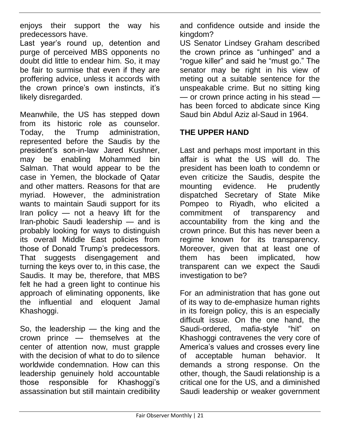enjoys their support the way his predecessors have.

Last year's round up, detention and purge of perceived MBS opponents no doubt did little to endear him. So, it may be fair to surmise that even if they are proffering advice, unless it accords with the crown prince's own instincts, it's likely disregarded.

Meanwhile, the US has stepped down from its historic role as counselor. Today, the Trump administration, represented before the Saudis by the president's son-in-law Jared Kushner, may be enabling Mohammed bin Salman. That would appear to be the case in Yemen, the blockade of Qatar and other matters. Reasons for that are myriad. However, the administration wants to maintain Saudi support for its Iran policy — not a heavy lift for the Iran-phobic Saudi leadership — and is probably looking for ways to distinguish its overall Middle East policies from those of Donald Trump's predecessors. That suggests disengagement and turning the keys over to, in this case, the Saudis. It may be, therefore, that MBS felt he had a green light to continue his approach of eliminating opponents, like the influential and eloquent Jamal Khashoggi.

So, the leadership — the king and the crown prince — themselves at the center of attention now, must grapple with the decision of what to do to silence worldwide condemnation. How can this leadership genuinely hold accountable those responsible for Khashoggi's assassination but still maintain credibility

and confidence outside and inside the kingdom?

US Senator Lindsey Graham described the crown prince as "unhinged" and a "rogue killer" and said he "must go." The senator may be right in his view of meting out a suitable sentence for the unspeakable crime. But no sitting king — or crown prince acting in his stead has been forced to abdicate since King Saud bin Abdul Aziz al-Saud in 1964.

#### **THE UPPER HAND**

Last and perhaps most important in this affair is what the US will do. The president has been loath to condemn or even criticize the Saudis, despite the mounting evidence. He prudently dispatched Secretary of State Mike Pompeo to Riyadh, who elicited a commitment of transparency and accountability from the king and the crown prince. But this has never been a regime known for its transparency. Moreover, given that at least one of them has been implicated, how transparent can we expect the Saudi investigation to be?

For an administration that has gone out of its way to de-emphasize human rights in its foreign policy, this is an especially difficult issue. On the one hand, the Saudi-ordered, mafia-style "hit" on Khashoggi contravenes the very core of America's values and crosses every line of acceptable human behavior. It demands a strong response. On the other, though, the Saudi relationship is a critical one for the US, and a diminished Saudi leadership or weaker government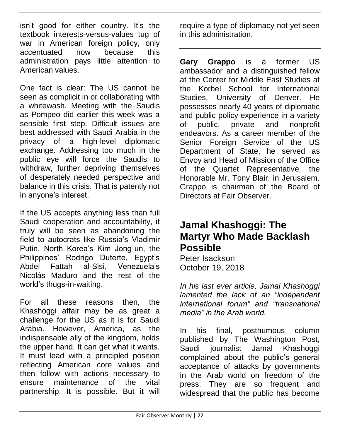isn't good for either country. It's the textbook interests-versus-values tug of war in American foreign policy, only accentuated now because this administration pays little attention to American values.

One fact is clear: The US cannot be seen as complicit in or collaborating with a whitewash. Meeting with the Saudis as Pompeo did earlier this week was a sensible first step. Difficult issues are best addressed with Saudi Arabia in the privacy of a high-level diplomatic exchange. Addressing too much in the public eye will force the Saudis to withdraw, further depriving themselves of desperately needed perspective and balance in this crisis. That is patently not in anyone's interest.

If the US accepts anything less than full Saudi cooperation and accountability, it truly will be seen as abandoning the field to autocrats like Russia's Vladimir Putin, North Korea's Kim Jong-un, the Philippines' Rodrigo Duterte, Egypt's Abdel Fattah al-Sisi, Venezuela's Nicolás Maduro and the rest of the world's thugs-in-waiting.

For all these reasons then, the Khashoggi affair may be as great a challenge for the US as it is for Saudi Arabia. However, America, as the indispensable ally of the kingdom, holds the upper hand. It can get what it wants. It must lead with a principled position reflecting American core values and then follow with actions necessary to ensure maintenance of the vital partnership. It is possible. But it will

require a type of diplomacy not yet seen in this administration.

**Gary Grappo** is a former US ambassador and a distinguished fellow at the Center for Middle East Studies at the Korbel School for International Studies, University of Denver. He possesses nearly 40 years of diplomatic and public policy experience in a variety of public, private and nonprofit endeavors. As a career member of the Senior Foreign Service of the US Department of State, he served as Envoy and Head of Mission of the Office of the Quartet Representative, the Honorable Mr. Tony Blair, in Jerusalem. Grappo is chairman of the Board of Directors at Fair Observer.

#### **Jamal Khashoggi: The Martyr Who Made Backlash Possible**

Peter Isackson October 19, 2018

*In his last ever article, Jamal Khashoggi lamented the lack of an "independent international forum" and "transnational media" in the Arab world.*

In his final, posthumous column published by The Washington Post, Saudi journalist Jamal Khashoggi complained about the public's general acceptance of attacks by governments in the Arab world on freedom of the press. They are so frequent and widespread that the public has become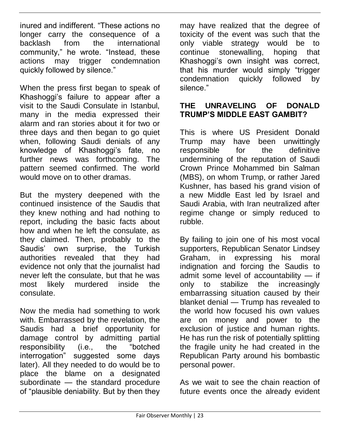inured and indifferent. "These actions no longer carry the consequence of a backlash from the international community," he wrote. "Instead, these actions may trigger condemnation quickly followed by silence."

When the press first began to speak of Khashoggi's failure to appear after a visit to the Saudi Consulate in Istanbul, many in the media expressed their alarm and ran stories about it for two or three days and then began to go quiet when, following Saudi denials of any knowledge of Khashoggi's fate, no further news was forthcoming. The pattern seemed confirmed. The world would move on to other dramas.

But the mystery deepened with the continued insistence of the Saudis that they knew nothing and had nothing to report, including the basic facts about how and when he left the consulate, as they claimed. Then, probably to the Saudis' own surprise, the Turkish authorities revealed that they had evidence not only that the journalist had never left the consulate, but that he was most likely murdered inside the consulate.

Now the media had something to work with. Embarrassed by the revelation, the Saudis had a brief opportunity for damage control by admitting partial responsibility (i.e., the "botched interrogation" suggested some days later). All they needed to do would be to place the blame on a designated subordinate — the standard procedure of "plausible deniability. But by then they

may have realized that the degree of toxicity of the event was such that the only viable strategy would be to continue stonewalling, hoping that Khashoggi's own insight was correct, that his murder would simply "trigger condemnation quickly followed by silence."

#### **THE UNRAVELING OF DONALD TRUMP'S MIDDLE EAST GAMBIT?**

This is where US President Donald Trump may have been unwittingly responsible for the definitive undermining of the reputation of Saudi Crown Prince Mohammed bin Salman (MBS), on whom Trump, or rather Jared Kushner, has based his grand vision of a new Middle East led by Israel and Saudi Arabia, with Iran neutralized after regime change or simply reduced to rubble.

By failing to join one of his most vocal supporters, Republican Senator Lindsey Graham, in expressing his moral indignation and forcing the Saudis to admit some level of accountability — if only to stabilize the increasingly embarrassing situation caused by their blanket denial — Trump has revealed to the world how focused his own values are on money and power to the exclusion of justice and human rights. He has run the risk of potentially splitting the fragile unity he had created in the Republican Party around his bombastic personal power.

As we wait to see the chain reaction of future events once the already evident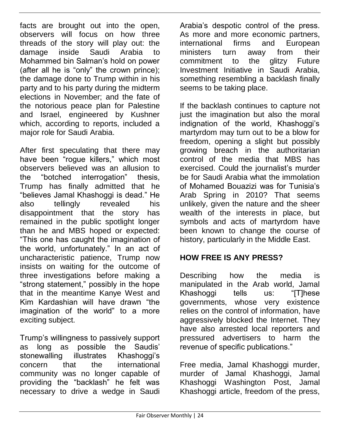facts are brought out into the open, observers will focus on how three threads of the story will play out: the damage inside Saudi Arabia to Mohammed bin Salman's hold on power (after all he is "only" the crown prince); the damage done to Trump within in his party and to his party during the midterm elections in November; and the fate of the notorious peace plan for Palestine and Israel, engineered by Kushner which, according to reports, included a major role for Saudi Arabia.

After first speculating that there may have been "rogue killers," which most observers believed was an allusion to the "botched interrogation" thesis, Trump has finally admitted that he "believes Jamal Khashoggi is dead." He also tellingly revealed his disappointment that the story has remained in the public spotlight longer than he and MBS hoped or expected: "This one has caught the imagination of the world, unfortunately." In an act of uncharacteristic patience, Trump now insists on waiting for the outcome of three investigations before making a "strong statement," possibly in the hope that in the meantime Kanye West and Kim Kardashian will have drawn "the imagination of the world" to a more exciting subject.

Trump's willingness to passively support as long as possible the Saudis' stonewalling illustrates Khashoggi's concern that the international community was no longer capable of providing the "backlash" he felt was necessary to drive a wedge in Saudi

Arabia's despotic control of the press. As more and more economic partners, international firms and European ministers turn away from their commitment to the glitzy Future Investment Initiative in Saudi Arabia, something resembling a backlash finally seems to be taking place.

If the backlash continues to capture not just the imagination but also the moral indignation of the world, Khashoggi's martyrdom may turn out to be a blow for freedom, opening a slight but possibly growing breach in the authoritarian control of the media that MBS has exercised. Could the journalist's murder be for Saudi Arabia what the immolation of Mohamed Bouazizi was for Tunisia's Arab Spring in 2010? That seems unlikely, given the nature and the sheer wealth of the interests in place, but symbols and acts of martyrdom have been known to change the course of history, particularly in the Middle East.

#### **HOW FREE IS ANY PRESS?**

Describing how the media is manipulated in the Arab world, Jamal Khashoggi tells us: "[T]hese governments, whose very existence relies on the control of information, have aggressively blocked the Internet. They have also arrested local reporters and pressured advertisers to harm the revenue of specific publications."

Free media, Jamal Khashoggi murder, murder of Jamal Khashoggi, Jamal Khashoggi Washington Post, Jamal Khashoggi article, freedom of the press,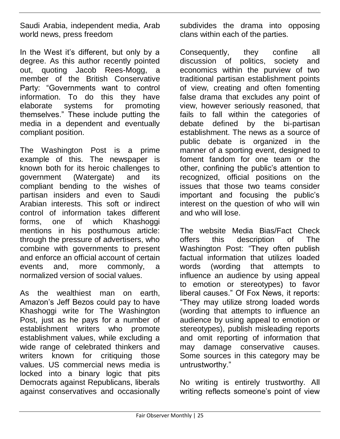Saudi Arabia, independent media, Arab world news, press freedom

In the West it's different, but only by a degree. As this author recently pointed out, quoting Jacob Rees-Mogg, a member of the British Conservative Party: "Governments want to control information. To do this they have elaborate systems for promoting themselves." These include putting the media in a dependent and eventually compliant position.

The Washington Post is a prime example of this. The newspaper is known both for its heroic challenges to government (Watergate) and its compliant bending to the wishes of partisan insiders and even to Saudi Arabian interests. This soft or indirect control of information takes different forms, one of which Khashoggi mentions in his posthumous article: through the pressure of advertisers, who combine with governments to present and enforce an official account of certain events and, more commonly, a normalized version of social values.

As the wealthiest man on earth, Amazon's Jeff Bezos could pay to have Khashoggi write for The Washington Post, just as he pays for a number of establishment writers who promote establishment values, while excluding a wide range of celebrated thinkers and writers known for critiquing those values. US commercial news media is locked into a binary logic that pits Democrats against Republicans, liberals against conservatives and occasionally

subdivides the drama into opposing clans within each of the parties.

Consequently, they confine all discussion of politics, society and economics within the purview of two traditional partisan establishment points of view, creating and often fomenting false drama that excludes any point of view, however seriously reasoned, that fails to fall within the categories of debate defined by the bi-partisan establishment. The news as a source of public debate is organized in the manner of a sporting event, designed to foment fandom for one team or the other, confining the public's attention to recognized, official positions on the issues that those two teams consider important and focusing the public's interest on the question of who will win and who will lose.

The website Media Bias/Fact Check offers this description of The Washington Post: "They often publish factual information that utilizes loaded words (wording that attempts to influence an audience by using appeal to emotion or stereotypes) to favor liberal causes." Of Fox News, it reports: "They may utilize strong loaded words (wording that attempts to influence an audience by using appeal to emotion or stereotypes), publish misleading reports and omit reporting of information that may damage conservative causes. Some sources in this category may be untrustworthy."

No writing is entirely trustworthy. All writing reflects someone's point of view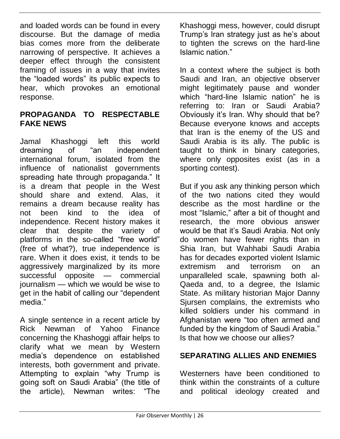and loaded words can be found in every discourse. But the damage of media bias comes more from the deliberate narrowing of perspective. It achieves a deeper effect through the consistent framing of issues in a way that invites the "loaded words" its public expects to hear, which provokes an emotional response.

#### **PROPAGANDA TO RESPECTABLE FAKE NEWS**

Jamal Khashoggi left this world dreaming of "an independent international forum, isolated from the influence of nationalist governments spreading hate through propaganda." It is a dream that people in the West should share and extend. Alas, it remains a dream because reality has not been kind to the idea of independence. Recent history makes it clear that despite the variety of platforms in the so-called "free world" (free of what?), true independence is rare. When it does exist, it tends to be aggressively marginalized by its more successful opposite — commercial journalism — which we would be wise to get in the habit of calling our "dependent media."

A single sentence in a recent article by Rick Newman of Yahoo Finance concerning the Khashoggi affair helps to clarify what we mean by Western media's dependence on established interests, both government and private. Attempting to explain "why Trump is going soft on Saudi Arabia" (the title of the article), Newman writes: "The

Khashoggi mess, however, could disrupt Trump's Iran strategy just as he's about to tighten the screws on the hard-line Islamic nation."

In a context where the subject is both Saudi and Iran, an objective observer might legitimately pause and wonder which "hard-line Islamic nation" he is referring to: Iran or Saudi Arabia? Obviously it's Iran. Why should that be? Because everyone knows and accepts that Iran is the enemy of the US and Saudi Arabia is its ally. The public is taught to think in binary categories, where only opposites exist (as in a sporting contest).

But if you ask any thinking person which of the two nations cited they would describe as the most hardline or the most "Islamic," after a bit of thought and research, the more obvious answer would be that it's Saudi Arabia. Not only do women have fewer rights than in Shia Iran, but Wahhabi Saudi Arabia has for decades exported violent Islamic extremism and terrorism on an unparalleled scale, spawning both al-Qaeda and, to a degree, the Islamic State. As military historian Major Danny Sjursen complains, the extremists who killed soldiers under his command in Afghanistan were "too often armed and funded by the kingdom of Saudi Arabia." Is that how we choose our allies?

#### **SEPARATING ALLIES AND ENEMIES**

Westerners have been conditioned to think within the constraints of a culture and political ideology created and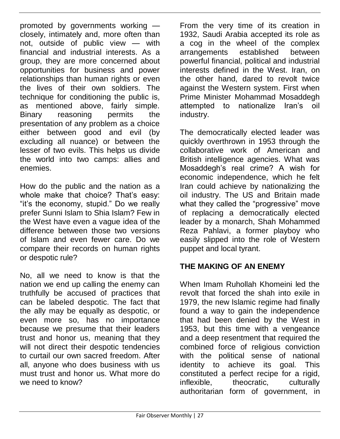promoted by governments working closely, intimately and, more often than not, outside of public view — with financial and industrial interests. As a group, they are more concerned about opportunities for business and power relationships than human rights or even the lives of their own soldiers. The technique for conditioning the public is, as mentioned above, fairly simple. Binary reasoning permits the presentation of any problem as a choice either between good and evil (by excluding all nuance) or between the lesser of two evils. This helps us divide the world into two camps: allies and enemies.

How do the public and the nation as a whole make that choice? That's easy: "it's the economy, stupid." Do we really prefer Sunni Islam to Shia Islam? Few in the West have even a vague idea of the difference between those two versions of Islam and even fewer care. Do we compare their records on human rights or despotic rule?

No, all we need to know is that the nation we end up calling the enemy can truthfully be accused of practices that can be labeled despotic. The fact that the ally may be equally as despotic, or even more so, has no importance because we presume that their leaders trust and honor us, meaning that they will not direct their despotic tendencies to curtail our own sacred freedom. After all, anyone who does business with us must trust and honor us. What more do we need to know?

From the very time of its creation in 1932, Saudi Arabia accepted its role as a cog in the wheel of the complex arrangements established between powerful financial, political and industrial interests defined in the West. Iran, on the other hand, dared to revolt twice against the Western system. First when Prime Minister Mohammad Mosaddegh attempted to nationalize Iran's oil industry.

The democratically elected leader was quickly overthrown in 1953 through the collaborative work of American and British intelligence agencies. What was Mosaddegh's real crime? A wish for economic independence, which he felt Iran could achieve by nationalizing the oil industry. The US and Britain made what they called the "progressive" move of replacing a democratically elected leader by a monarch, Shah Mohammed Reza Pahlavi, a former playboy who easily slipped into the role of Western puppet and local tyrant.

#### **THE MAKING OF AN ENEMY**

When Imam Ruhollah Khomeini led the revolt that forced the shah into exile in 1979, the new Islamic regime had finally found a way to gain the independence that had been denied by the West in 1953, but this time with a vengeance and a deep resentment that required the combined force of religious conviction with the political sense of national identity to achieve its goal. This constituted a perfect recipe for a rigid, inflexible, theocratic, culturally authoritarian form of government, in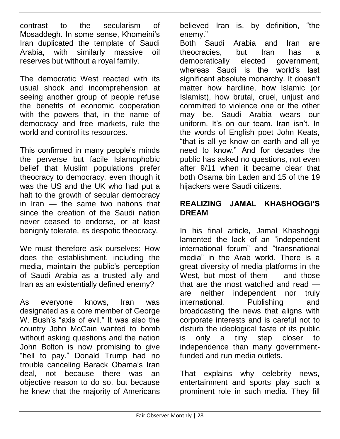contrast to the secularism of Mosaddegh. In some sense, Khomeini's Iran duplicated the template of Saudi Arabia, with similarly massive oil reserves but without a royal family.

The democratic West reacted with its usual shock and incomprehension at seeing another group of people refuse the benefits of economic cooperation with the powers that, in the name of democracy and free markets, rule the world and control its resources.

This confirmed in many people's minds the perverse but facile Islamophobic belief that Muslim populations prefer theocracy to democracy, even though it was the US and the UK who had put a halt to the growth of secular democracy in Iran — the same two nations that since the creation of the Saudi nation never ceased to endorse, or at least benignly tolerate, its despotic theocracy.

We must therefore ask ourselves: How does the establishment, including the media, maintain the public's perception of Saudi Arabia as a trusted ally and Iran as an existentially defined enemy?

As everyone knows, Iran was designated as a core member of George W. Bush's "axis of evil." It was also the country John McCain wanted to bomb without asking questions and the nation John Bolton is now promising to give "hell to pay." Donald Trump had no trouble canceling Barack Obama's Iran deal, not because there was an objective reason to do so, but because he knew that the majority of Americans

believed Iran is, by definition, "the enemy."

Both Saudi Arabia and Iran are theocracies, but Iran has a democratically elected government, whereas Saudi is the world's last significant absolute monarchy. It doesn't matter how hardline, how Islamic (or Islamist), how brutal, cruel, unjust and committed to violence one or the other may be. Saudi Arabia wears our uniform. It's on our team. Iran isn't. In the words of English poet John Keats, "that is all ye know on earth and all ye need to know." And for decades the public has asked no questions, not even after 9/11 when it became clear that both Osama bin Laden and 15 of the 19 hijackers were Saudi citizens.

#### **REALIZING JAMAL KHASHOGGI'S DREAM**

In his final article, Jamal Khashoggi lamented the lack of an "independent international forum" and "transnational media" in the Arab world. There is a great diversity of media platforms in the West, but most of them — and those that are the most watched and read are neither independent nor truly international. Publishing and broadcasting the news that aligns with corporate interests and is careful not to disturb the ideological taste of its public is only a tiny step closer to independence than many governmentfunded and run media outlets.

That explains why celebrity news, entertainment and sports play such a prominent role in such media. They fill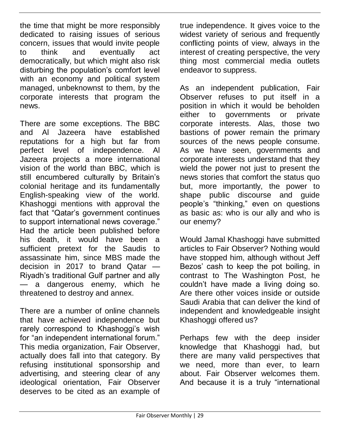the time that might be more responsibly dedicated to raising issues of serious concern, issues that would invite people to think and eventually act democratically, but which might also risk disturbing the population's comfort level with an economy and political system managed, unbeknownst to them, by the corporate interests that program the news.

There are some exceptions. The BBC and Al Jazeera have established reputations for a high but far from perfect level of independence. Al Jazeera projects a more international vision of the world than BBC, which is still encumbered culturally by Britain's colonial heritage and its fundamentally English-speaking view of the world. Khashoggi mentions with approval the fact that "Qatar's government continues to support international news coverage." Had the article been published before his death, it would have been a sufficient pretext for the Saudis to assassinate him, since MBS made the decision in 2017 to brand Qatar — Riyadh's traditional Gulf partner and ally — a dangerous enemy, which he threatened to destroy and annex.

There are a number of online channels that have achieved independence but rarely correspond to Khashoggi's wish for "an independent international forum." This media organization, Fair Observer, actually does fall into that category. By refusing institutional sponsorship and advertising, and steering clear of any ideological orientation, Fair Observer deserves to be cited as an example of

true independence. It gives voice to the widest variety of serious and frequently conflicting points of view, always in the interest of creating perspective, the very thing most commercial media outlets endeavor to suppress.

As an independent publication, Fair Observer refuses to put itself in a position in which it would be beholden either to governments or private corporate interests. Alas, those two bastions of power remain the primary sources of the news people consume. As we have seen, governments and corporate interests understand that they wield the power not just to present the news stories that comfort the status quo but, more importantly, the power to shape public discourse and guide people's "thinking," even on questions as basic as: who is our ally and who is our enemy?

Would Jamal Khashoggi have submitted articles to Fair Observer? Nothing would have stopped him, although without Jeff Bezos' cash to keep the pot boiling, in contrast to The Washington Post, he couldn't have made a living doing so. Are there other voices inside or outside Saudi Arabia that can deliver the kind of independent and knowledgeable insight Khashoggi offered us?

Perhaps few with the deep insider knowledge that Khashoggi had, but there are many valid perspectives that we need, more than ever, to learn about. Fair Observer welcomes them. And because it is a truly "international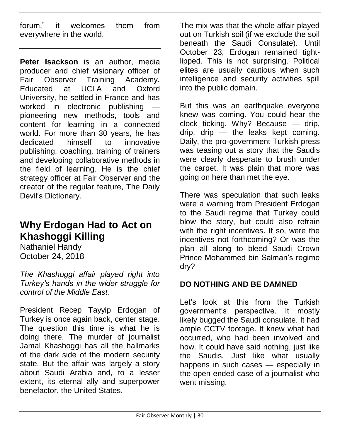forum," it welcomes them from everywhere in the world.

**Peter Isackson** is an author, media producer and chief visionary officer of Fair Observer Training Academy. Educated at UCLA and Oxford University, he settled in France and has worked in electronic publishing pioneering new methods, tools and content for learning in a connected world. For more than 30 years, he has dedicated himself to innovative publishing, coaching, training of trainers and developing collaborative methods in the field of learning. He is the chief strategy officer at Fair Observer and the creator of the regular feature, The Daily Devil's Dictionary.

#### **Why Erdogan Had to Act on Khashoggi Killing**

Nathaniel Handy October 24, 2018

*The Khashoggi affair played right into Turkey's hands in the wider struggle for control of the Middle East.*

President Recep Tayyip Erdogan of Turkey is once again back, center stage. The question this time is what he is doing there. The murder of journalist Jamal Khashoggi has all the hallmarks of the dark side of the modern security state. But the affair was largely a story about Saudi Arabia and, to a lesser extent, its eternal ally and superpower benefactor, the United States.

The mix was that the whole affair played out on Turkish soil (if we exclude the soil beneath the Saudi Consulate). Until October 23, Erdogan remained tightlipped. This is not surprising. Political elites are usually cautious when such intelligence and security activities spill into the public domain.

But this was an earthquake everyone knew was coming. You could hear the clock ticking. Why? Because — drip, drip, drip — the leaks kept coming. Daily, the pro-government Turkish press was teasing out a story that the Saudis were clearly desperate to brush under the carpet. It was plain that more was going on here than met the eye.

There was speculation that such leaks were a warning from President Erdogan to the Saudi regime that Turkey could blow the story, but could also refrain with the right incentives. If so, were the incentives not forthcoming? Or was the plan all along to bleed Saudi Crown Prince Mohammed bin Salman's regime dry?

#### **DO NOTHING AND BE DAMNED**

Let's look at this from the Turkish government's perspective. It mostly likely bugged the Saudi consulate. It had ample CCTV footage. It knew what had occurred, who had been involved and how. It could have said nothing, just like the Saudis. Just like what usually happens in such cases — especially in the open-ended case of a journalist who went missing.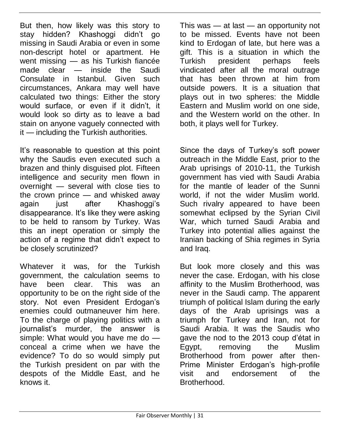But then, how likely was this story to stay hidden? Khashoggi didn't go missing in Saudi Arabia or even in some non-descript hotel or apartment. He went missing — as his Turkish fiancée made clear — inside the Saudi Consulate in Istanbul. Given such circumstances, Ankara may well have calculated two things: Either the story would surface, or even if it didn't, it would look so dirty as to leave a bad stain on anyone vaguely connected with it — including the Turkish authorities.

It's reasonable to question at this point why the Saudis even executed such a brazen and thinly disguised plot. Fifteen intelligence and security men flown in overnight — several with close ties to the crown prince — and whisked away again just after Khashoggi's disappearance. It's like they were asking to be held to ransom by Turkey. Was this an inept operation or simply the action of a regime that didn't expect to be closely scrutinized?

Whatever it was, for the Turkish government, the calculation seems to have been clear. This was an opportunity to be on the right side of the story. Not even President Erdogan's enemies could outmaneuver him here. To the charge of playing politics with a journalist's murder, the answer is simple: What would you have me do conceal a crime when we have the evidence? To do so would simply put the Turkish president on par with the despots of the Middle East, and he knows it.

This was — at last — an opportunity not to be missed. Events have not been kind to Erdogan of late, but here was a gift. This is a situation in which the Turkish president perhaps feels vindicated after all the moral outrage that has been thrown at him from outside powers. It is a situation that plays out in two spheres: the Middle Eastern and Muslim world on one side, and the Western world on the other. In both, it plays well for Turkey.

Since the days of Turkey's soft power outreach in the Middle East, prior to the Arab uprisings of 2010-11, the Turkish government has vied with Saudi Arabia for the mantle of leader of the Sunni world, if not the wider Muslim world. Such rivalry appeared to have been somewhat eclipsed by the Syrian Civil War, which turned Saudi Arabia and Turkey into potential allies against the Iranian backing of Shia regimes in Syria and Iraq.

But look more closely and this was never the case. Erdogan, with his close affinity to the Muslim Brotherhood, was never in the Saudi camp. The apparent triumph of political Islam during the early days of the Arab uprisings was a triumph for Turkey and Iran, not for Saudi Arabia. It was the Saudis who gave the nod to the 2013 coup d'état in Egypt, removing the Muslim Brotherhood from power after then-Prime Minister Erdogan's high-profile visit and endorsement of the Brotherhood.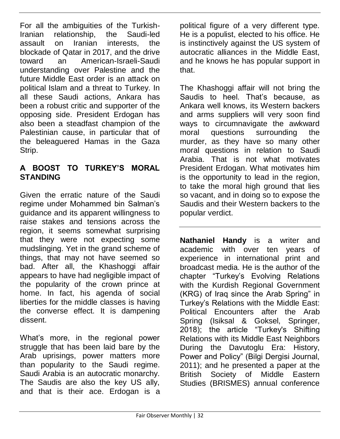For all the ambiguities of the Turkish-Iranian relationship, the Saudi-led assault on Iranian interests, the blockade of Qatar in 2017, and the drive toward an American-Israeli-Saudi understanding over Palestine and the future Middle East order is an attack on political Islam and a threat to Turkey. In all these Saudi actions, Ankara has been a robust critic and supporter of the opposing side. President Erdogan has also been a steadfast champion of the Palestinian cause, in particular that of the beleaguered Hamas in the Gaza Strip.

#### **A BOOST TO TURKEY'S MORAL STANDING**

Given the erratic nature of the Saudi regime under Mohammed bin Salman's guidance and its apparent willingness to raise stakes and tensions across the region, it seems somewhat surprising that they were not expecting some mudslinging. Yet in the grand scheme of things, that may not have seemed so bad. After all, the Khashoggi affair appears to have had negligible impact of the popularity of the crown prince at home. In fact, his agenda of social liberties for the middle classes is having the converse effect. It is dampening dissent.

What's more, in the regional power struggle that has been laid bare by the Arab uprisings, power matters more than popularity to the Saudi regime. Saudi Arabia is an autocratic monarchy. The Saudis are also the key US ally, and that is their ace. Erdogan is a

political figure of a very different type. He is a populist, elected to his office. He is instinctively against the US system of autocratic alliances in the Middle East, and he knows he has popular support in that.

The Khashoggi affair will not bring the Saudis to heel. That's because, as Ankara well knows, its Western backers and arms suppliers will very soon find ways to circumnavigate the awkward moral questions surrounding the murder, as they have so many other moral questions in relation to Saudi Arabia. That is not what motivates President Erdogan. What motivates him is the opportunity to lead in the region, to take the moral high ground that lies so vacant, and in doing so to expose the Saudis and their Western backers to the popular verdict.

**Nathaniel Handy** is a writer and academic with over ten years of experience in international print and broadcast media. He is the author of the chapter "Turkey's Evolving Relations with the Kurdish Regional Government (KRG) of Iraq since the Arab Spring" in Turkey's Relations with the Middle East: Political Encounters after the Arab Spring (Isiksal & Goksel, Springer, 2018); the article "Turkey's Shifting Relations with its Middle East Neighbors During the Davutoglu Era: History, Power and Policy" (Bilgi Dergisi Journal, 2011); and he presented a paper at the British Society of Middle Eastern Studies (BRISMES) annual conference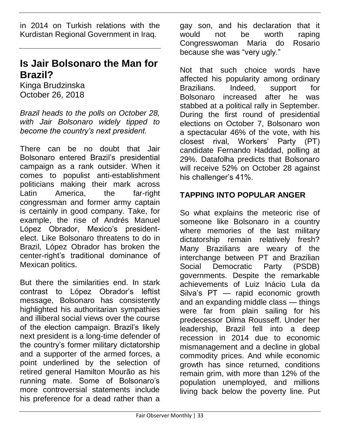in 2014 on Turkish relations with the Kurdistan Regional Government in Iraq.

#### **Is Jair Bolsonaro the Man for Brazil?**

Kinga Brudzinska October 26, 2018

*Brazil heads to the polls on October 28, with Jair Bolsonaro widely tipped to become the country's next president.*

There can be no doubt that Jair Bolsonaro entered Brazil's presidential campaign as a rank outsider. When it comes to populist anti-establishment politicians making their mark across Latin America, the far-right congressman and former army captain is certainly in good company. Take, for example, the rise of Andrés Manuel López Obrador, Mexico's presidentelect. Like Bolsonaro threatens to do in Brazil, López Obrador has broken the center-right's traditional dominance of Mexican politics.

But there the similarities end. In stark contrast to López Obrador's leftist message, Bolsonaro has consistently highlighted his authoritarian sympathies and illiberal social views over the course of the election campaign. Brazil's likely next president is a long-time defender of the country's former military dictatorship and a supporter of the armed forces, a point underlined by the selection of retired general Hamilton Mourão as his running mate. Some of Bolsonaro's more controversial statements include his preference for a dead rather than a

gay son, and his declaration that it would not be worth raping Congresswoman Maria do Rosario because she was "very ugly."

Not that such choice words have affected his popularity among ordinary Brazilians. Indeed, support for Bolsonaro increased after he was stabbed at a political rally in September. During the first round of presidential elections on October 7, Bolsonaro won a spectacular 46% of the vote, with his closest rival, Workers' Party (PT) candidate Fernando Haddad, polling at 29%. Datafolha predicts that Bolsonaro will receive 52% on October 28 against his challenger's 41%.

#### **TAPPING INTO POPULAR ANGER**

So what explains the meteoric rise of someone like Bolsonaro in a country where memories of the last military dictatorship remain relatively fresh? Many Brazilians are weary of the interchange between PT and Brazilian Social Democratic Party (PSDB) governments. Despite the remarkable achievements of Luiz Inácio Lula da Silva's PT — rapid economic growth and an expanding middle class — things were far from plain sailing for his predecessor Dilma Rousseff. Under her leadership, Brazil fell into a deep recession in 2014 due to economic mismanagement and a decline in global commodity prices. And while economic growth has since returned, conditions remain grim, with more than 12% of the population unemployed, and millions living back below the poverty line. Put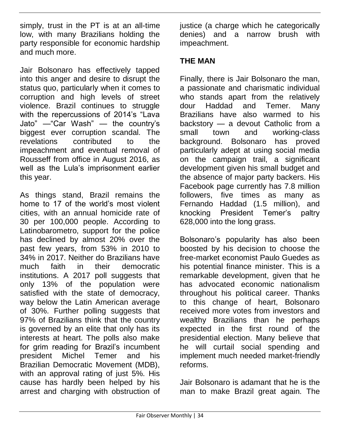simply, trust in the PT is at an all-time low, with many Brazilians holding the party responsible for economic hardship and much more.

Jair Bolsonaro has effectively tapped into this anger and desire to disrupt the status quo, particularly when it comes to corruption and high levels of street violence. Brazil continues to struggle with the repercussions of 2014's "Lava Jato" —"Car Wash" — the country's biggest ever corruption scandal. The revelations contributed to the impeachment and eventual removal of Rousseff from office in August 2016, as well as the Lula's imprisonment earlier this year.

As things stand, Brazil remains the home to 17 of the world's most violent cities, with an annual homicide rate of 30 per 100,000 people. According to Latinobarometro, support for the police has declined by almost 20% over the past few years, from 53% in 2010 to 34% in 2017. Neither do Brazilians have much faith in their democratic institutions. A 2017 poll suggests that only 13% of the population were satisfied with the state of democracy, way below the Latin American average of 30%. Further polling suggests that 97% of Brazilians think that the country is governed by an elite that only has its interests at heart. The polls also make for grim reading for Brazil's incumbent president Michel Temer and his Brazilian Democratic Movement (MDB), with an approval rating of just 5%. His cause has hardly been helped by his arrest and charging with obstruction of

justice (a charge which he categorically denies) and a narrow brush with impeachment.

#### **THE MAN**

Finally, there is Jair Bolsonaro the man, a passionate and charismatic individual who stands apart from the relatively dour Haddad and Temer. Many Brazilians have also warmed to his backstory — a devout Catholic from a small town and working-class background. Bolsonaro has proved particularly adept at using social media on the campaign trail, a significant development given his small budget and the absence of major party backers. His Facebook page currently has 7.8 million followers, five times as many as Fernando Haddad (1.5 million), and knocking President Temer's paltry 628,000 into the long grass.

Bolsonaro's popularity has also been boosted by his decision to choose the free-market economist Paulo Guedes as his potential finance minister. This is a remarkable development, given that he has advocated economic nationalism throughout his political career. Thanks to this change of heart, Bolsonaro received more votes from investors and wealthy Brazilians than he perhaps expected in the first round of the presidential election. Many believe that he will curtail social spending and implement much needed market-friendly reforms.

Jair Bolsonaro is adamant that he is the man to make Brazil great again. The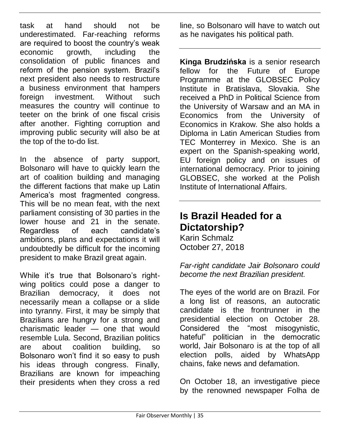task at hand should not be underestimated. Far-reaching reforms are required to boost the country's weak economic growth, including the consolidation of public finances and reform of the pension system. Brazil's next president also needs to restructure a business environment that hampers foreign investment. Without such measures the country will continue to teeter on the brink of one fiscal crisis after another. Fighting corruption and improving public security will also be at the top of the to-do list.

In the absence of party support, Bolsonaro will have to quickly learn the art of coalition building and managing the different factions that make up Latin America's most fragmented congress. This will be no mean feat, with the next parliament consisting of 30 parties in the lower house and 21 in the senate. Regardless of each candidate's ambitions, plans and expectations it will undoubtedly be difficult for the incoming president to make Brazil great again.

While it's true that Bolsonaro's rightwing politics could pose a danger to Brazilian democracy, it does not necessarily mean a collapse or a slide into tyranny. First, it may be simply that Brazilians are hungry for a strong and charismatic leader — one that would resemble Lula. Second, Brazilian politics are about coalition building, so Bolsonaro won't find it so easy to push his ideas through congress. Finally, Brazilians are known for impeaching their presidents when they cross a red

line, so Bolsonaro will have to watch out as he navigates his political path.

**Kinga Brudzińska** is a senior research fellow for the Future of Europe Programme at the GLOBSEC Policy Institute in Bratislava, Slovakia. She received a PhD in Political Science from the University of Warsaw and an MA in Economics from the University of Economics in Krakow. She also holds a Diploma in Latin American Studies from TEC Monterrey in Mexico. She is an expert on the Spanish-speaking world, EU foreign policy and on issues of international democracy. Prior to joining GLOBSEC, she worked at the Polish Institute of International Affairs.

#### **Is Brazil Headed for a Dictatorship?**

Karin Schmalz October 27, 2018

*Far-right candidate Jair Bolsonaro could become the next Brazilian president.*

The eyes of the world are on Brazil. For a long list of reasons, an autocratic candidate is the frontrunner in the presidential election on October 28. Considered the "most misogynistic, hateful" politician in the democratic world, Jair Bolsonaro is at the top of all election polls, aided by WhatsApp chains, fake news and defamation.

On October 18, an investigative piece by the renowned newspaper Folha de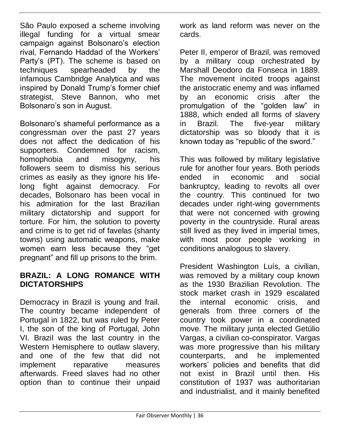São Paulo exposed a scheme involving illegal funding for a virtual smear campaign against Bolsonaro's election rival, Fernando Haddad of the Workers' Party's (PT). The scheme is based on techniques spearheaded by the infamous Cambridge Analytica and was inspired by Donald Trump's former chief strategist, Steve Bannon, who met Bolsonaro's son in August.

Bolsonaro's shameful performance as a congressman over the past 27 years does not affect the dedication of his supporters. Condemned for racism. homophobia and misogyny, his followers seem to dismiss his serious crimes as easily as they ignore his lifelong fight against democracy. For decades, Bolsonaro has been vocal in his admiration for the last Brazilian military dictatorship and support for torture. For him, the solution to poverty and crime is to get rid of favelas (shanty towns) using automatic weapons, make women earn less because they "get pregnant" and fill up prisons to the brim.

#### **BRAZIL: A LONG ROMANCE WITH DICTATORSHIPS**

Democracy in Brazil is young and frail. The country became independent of Portugal in 1822, but was ruled by Peter I, the son of the king of Portugal, John VI. Brazil was the last country in the Western Hemisphere to outlaw slavery, and one of the few that did not implement reparative measures afterwards. Freed slaves had no other option than to continue their unpaid

work as land reform was never on the cards.

Peter II, emperor of Brazil, was removed by a military coup orchestrated by Marshall Deodoro da Fonseca in 1889. The movement incited troops against the aristocratic enemy and was inflamed by an economic crisis after the promulgation of the "golden law" in 1888, which ended all forms of slavery in Brazil. The five-year military dictatorship was so bloody that it is known today as "republic of the sword."

This was followed by military legislative rule for another four years. Both periods ended in economic and social bankruptcy, leading to revolts all over the country. This continued for two decades under right-wing governments that were not concerned with growing poverty in the countryside. Rural areas still lived as they lived in imperial times, with most poor people working in conditions analogous to slavery.

President Washington Luís, a civilian, was removed by a military coup known as the 1930 Brazilian Revolution. The stock market crash in 1929 escalated the internal economic crisis, and generals from three corners of the country took power in a coordinated move. The military junta elected Getúlio Vargas, a civilian co-conspirator. Vargas was more progressive than his military counterparts, and he implemented workers' policies and benefits that did not exist in Brazil until then. His constitution of 1937 was authoritarian and industrialist, and it mainly benefited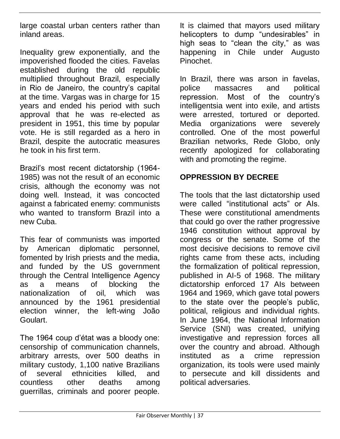large coastal urban centers rather than inland areas.

Inequality grew exponentially, and the impoverished flooded the cities. Favelas established during the old republic multiplied throughout Brazil, especially in Rio de Janeiro, the country's capital at the time. Vargas was in charge for 15 years and ended his period with such approval that he was re-elected as president in 1951, this time by popular vote. He is still regarded as a hero in Brazil, despite the autocratic measures he took in his first term.

Brazil's most recent dictatorship (1964- 1985) was not the result of an economic crisis, although the economy was not doing well. Instead, it was concocted against a fabricated enemy: communists who wanted to transform Brazil into a new Cuba.

This fear of communists was imported by American diplomatic personnel, fomented by Irish priests and the media, and funded by the US government through the Central Intelligence Agency as a means of blocking the nationalization of oil, which was announced by the 1961 presidential election winner, the left-wing João Goulart.

The 1964 coup d'état was a bloody one: censorship of communication channels, arbitrary arrests, over 500 deaths in military custody, 1,100 native Brazilians of several ethnicities killed, and countless other deaths among guerrillas, criminals and poorer people.

It is claimed that mayors used military helicopters to dump "undesirables" in high seas to "clean the city," as was happening in Chile under Augusto Pinochet.

In Brazil, there was arson in favelas, police massacres and political repression. Most of the country's intelligentsia went into exile, and artists were arrested, tortured or deported. Media organizations were severely controlled. One of the most powerful Brazilian networks, Rede Globo, only recently apologized for collaborating with and promoting the regime.

#### **OPPRESSION BY DECREE**

The tools that the last dictatorship used were called "institutional acts" or AIs. These were constitutional amendments that could go over the rather progressive 1946 constitution without approval by congress or the senate. Some of the most decisive decisions to remove civil rights came from these acts, including the formalization of political repression, published in AI-5 of 1968. The military dictatorship enforced 17 AIs between 1964 and 1969, which gave total powers to the state over the people's public, political, religious and individual rights. In June 1964, the National Information Service (SNI) was created, unifying investigative and repression forces all over the country and abroad. Although instituted as a crime repression organization, its tools were used mainly to persecute and kill dissidents and political adversaries.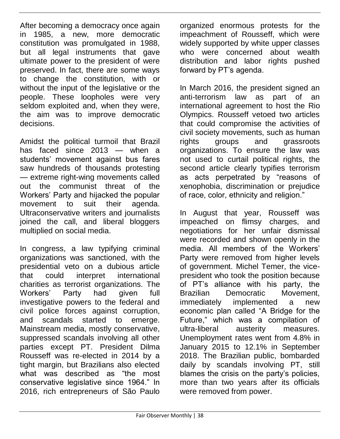After becoming a democracy once again in 1985, a new, more democratic constitution was promulgated in 1988, but all legal instruments that gave ultimate power to the president of were preserved. In fact, there are some ways to change the constitution, with or without the input of the legislative or the people. These loopholes were very seldom exploited and, when they were, the aim was to improve democratic decisions.

Amidst the political turmoil that Brazil has faced since 2013 — when a students' movement against bus fares saw hundreds of thousands protesting — extreme right-wing movements called out the communist threat of the Workers' Party and hijacked the popular movement to suit their agenda. Ultraconservative writers and journalists joined the call, and liberal bloggers multiplied on social media.

In congress, a law typifying criminal organizations was sanctioned, with the presidential veto on a dubious article that could interpret international charities as terrorist organizations. The Workers' Party had given full investigative powers to the federal and civil police forces against corruption, and scandals started to emerge. Mainstream media, mostly conservative, suppressed scandals involving all other parties except PT. President Dilma Rousseff was re-elected in 2014 by a tight margin, but Brazilians also elected what was described as "the most conservative legislative since 1964." In 2016, rich entrepreneurs of São Paulo

organized enormous protests for the impeachment of Rousseff, which were widely supported by white upper classes who were concerned about wealth distribution and labor rights pushed forward by PT's agenda.

In March 2016, the president signed an anti-terrorism law as part of an international agreement to host the Rio Olympics. Rousseff vetoed two articles that could compromise the activities of civil society movements, such as human rights groups and grassroots organizations. To ensure the law was not used to curtail political rights, the second article clearly typifies terrorism as acts perpetrated by "reasons of xenophobia, discrimination or prejudice of race, color, ethnicity and religion."

In August that year, Rousseff was impeached on flimsy charges, and negotiations for her unfair dismissal were recorded and shown openly in the media. All members of the Workers' Party were removed from higher levels of government. Michel Temer, the vicepresident who took the position because of PT's alliance with his party, the Brazilian Democratic Movement, immediately implemented a new economic plan called "A Bridge for the Future," which was a compilation of ultra-liberal austerity measures. Unemployment rates went from 4.8% in January 2015 to 12.1% in September 2018. The Brazilian public, bombarded daily by scandals involving PT, still blames the crisis on the party's policies, more than two years after its officials were removed from power.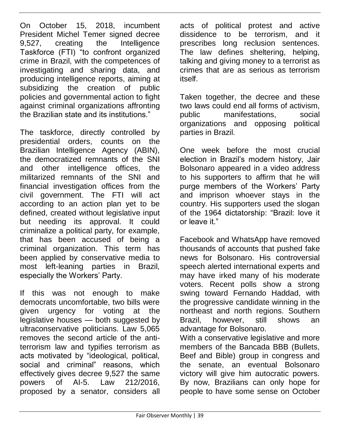On October 15, 2018, incumbent President Michel Temer signed decree 9,527, creating the Intelligence Taskforce (FTI) "to confront organized crime in Brazil, with the competences of investigating and sharing data, and producing intelligence reports, aiming at subsidizing the creation of public policies and governmental action to fight against criminal organizations affronting the Brazilian state and its institutions."

The taskforce, directly controlled by presidential orders, counts on the Brazilian Intelligence Agency (ABIN), the democratized remnants of the SNI and other intelligence offices, the militarized remnants of the SNI and financial investigation offices from the civil government. The FTI will act according to an action plan yet to be defined, created without legislative input but needing its approval. It could criminalize a political party, for example, that has been accused of being a criminal organization. This term has been applied by conservative media to most left-leaning parties in Brazil, especially the Workers' Party.

If this was not enough to make democrats uncomfortable, two bills were given urgency for voting at the legislative houses — both suggested by ultraconservative politicians. Law 5,065 removes the second article of the antiterrorism law and typifies terrorism as acts motivated by "ideological, political, social and criminal" reasons, which effectively gives decree 9,527 the same powers of AI-5. Law 212/2016, proposed by a senator, considers all

acts of political protest and active dissidence to be terrorism, and it prescribes long reclusion sentences. The law defines sheltering, helping, talking and giving money to a terrorist as crimes that are as serious as terrorism itself.

Taken together, the decree and these two laws could end all forms of activism, public manifestations, social organizations and opposing political parties in Brazil.

One week before the most crucial election in Brazil's modern history, Jair Bolsonaro appeared in a video address to his supporters to affirm that he will purge members of the Workers' Party and imprison whoever stays in the country. His supporters used the slogan of the 1964 dictatorship: "Brazil: love it or leave it."

Facebook and WhatsApp have removed thousands of accounts that pushed fake news for Bolsonaro. His controversial speech alerted international experts and may have irked many of his moderate voters. Recent polls show a strong swing toward Fernando Haddad, with the progressive candidate winning in the northeast and north regions. Southern Brazil, however, still shows an advantage for Bolsonaro.

With a conservative legislative and more members of the Bancada BBB (Bullets, Beef and Bible) group in congress and the senate, an eventual Bolsonaro victory will give him autocratic powers. By now, Brazilians can only hope for people to have some sense on October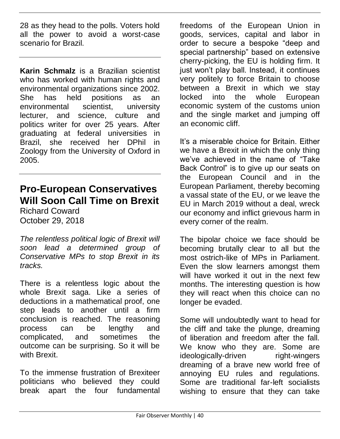28 as they head to the polls. Voters hold all the power to avoid a worst-case scenario for Brazil.

**Karin Schmalz** is a Brazilian scientist who has worked with human rights and environmental organizations since 2002. She has held positions as an environmental scientist, university lecturer, and science, culture and politics writer for over 25 years. After graduating at federal universities in Brazil, she received her DPhil in Zoology from the University of Oxford in 2005.

#### **Pro-European Conservatives Will Soon Call Time on Brexit**

Richard Coward October 29, 2018

*The relentless political logic of Brexit will soon lead a determined group of Conservative MPs to stop Brexit in its tracks.*

There is a relentless logic about the whole Brexit saga. Like a series of deductions in a mathematical proof, one step leads to another until a firm conclusion is reached. The reasoning process can be lengthy and complicated, and sometimes the outcome can be surprising. So it will be with **Brexit** 

To the immense frustration of Brexiteer politicians who believed they could break apart the four fundamental freedoms of the European Union in goods, services, capital and labor in order to secure a bespoke "deep and special partnership" based on extensive cherry-picking, the EU is holding firm. It just won't play ball. Instead, it continues very politely to force Britain to choose between a Brexit in which we stay locked into the whole European economic system of the customs union and the single market and jumping off an economic cliff.

It's a miserable choice for Britain. Either we have a Brexit in which the only thing we've achieved in the name of "Take Back Control" is to give up our seats on the European Council and in the European Parliament, thereby becoming a vassal state of the EU, or we leave the EU in March 2019 without a deal, wreck our economy and inflict grievous harm in every corner of the realm.

The bipolar choice we face should be becoming brutally clear to all but the most ostrich-like of MPs in Parliament. Even the slow learners amongst them will have worked it out in the next few months. The interesting question is how they will react when this choice can no longer be evaded.

Some will undoubtedly want to head for the cliff and take the plunge, dreaming of liberation and freedom after the fall. We know who they are. Some are ideologically-driven right-wingers dreaming of a brave new world free of annoying EU rules and regulations. Some are traditional far-left socialists wishing to ensure that they can take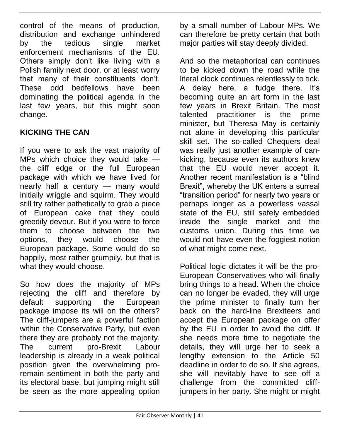control of the means of production, distribution and exchange unhindered by the tedious single market enforcement mechanisms of the EU. Others simply don't like living with a Polish family next door, or at least worry that many of their constituents don't. These odd bedfellows have been dominating the political agenda in the last few years, but this might soon change.

#### **KICKING THE CAN**

If you were to ask the vast majority of MPs which choice they would take the cliff edge or the full European package with which we have lived for nearly half a century — many would initially wriggle and squirm. They would still try rather pathetically to grab a piece of European cake that they could greedily devour. But if you were to force them to choose between the two options, they would choose the European package. Some would do so happily, most rather grumpily, but that is what they would choose.

So how does the majority of MPs rejecting the cliff and therefore by default supporting the European package impose its will on the others? The cliff-jumpers are a powerful faction within the Conservative Party, but even there they are probably not the majority. The current pro-Brexit Labour leadership is already in a weak political position given the overwhelming proremain sentiment in both the party and its electoral base, but jumping might still be seen as the more appealing option

by a small number of Labour MPs. We can therefore be pretty certain that both major parties will stay deeply divided.

And so the metaphorical can continues to be kicked down the road while the literal clock continues relentlessly to tick. A delay here, a fudge there. It's becoming quite an art form in the last few years in Brexit Britain. The most talented practitioner is the prime minister, but Theresa May is certainly not alone in developing this particular skill set. The so-called Chequers deal was really just another example of cankicking, because even its authors knew that the EU would never accept it. Another recent manifestation is a "blind Brexit", whereby the UK enters a surreal "transition period" for nearly two years or perhaps longer as a powerless vassal state of the EU, still safely embedded inside the single market and the customs union. During this time we would not have even the foggiest notion of what might come next.

Political logic dictates it will be the pro-European Conservatives who will finally bring things to a head. When the choice can no longer be evaded, they will urge the prime minister to finally turn her back on the hard-line Brexiteers and accept the European package on offer by the EU in order to avoid the cliff. If she needs more time to negotiate the details, they will urge her to seek a lengthy extension to the Article 50 deadline in order to do so. If she agrees, she will inevitably have to see off a challenge from the committed cliffjumpers in her party. She might or might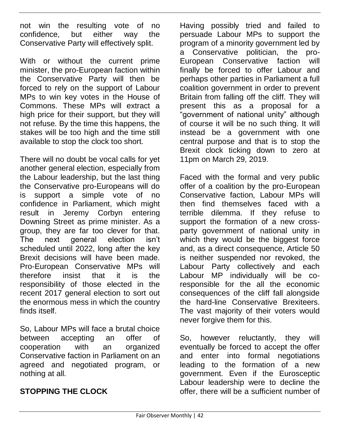not win the resulting vote of no confidence, but either way the Conservative Party will effectively split.

With or without the current prime minister, the pro-European faction within the Conservative Party will then be forced to rely on the support of Labour MPs to win key votes in the House of Commons. These MPs will extract a high price for their support, but they will not refuse. By the time this happens, the stakes will be too high and the time still available to stop the clock too short.

There will no doubt be vocal calls for yet another general election, especially from the Labour leadership, but the last thing the Conservative pro-Europeans will do is support a simple vote of no confidence in Parliament, which might result in Jeremy Corbyn entering Downing Street as prime minister. As a group, they are far too clever for that. The next general election isn't scheduled until 2022, long after the key Brexit decisions will have been made. Pro-European Conservative MPs will therefore insist that it is the responsibility of those elected in the recent 2017 general election to sort out the enormous mess in which the country finds itself.

So, Labour MPs will face a brutal choice between accepting an offer of cooperation with an organized Conservative faction in Parliament on an agreed and negotiated program, or nothing at all.

#### **STOPPING THE CLOCK**

Having possibly tried and failed to persuade Labour MPs to support the program of a minority government led by a Conservative politician, the pro-European Conservative faction will finally be forced to offer Labour and perhaps other parties in Parliament a full coalition government in order to prevent Britain from falling off the cliff. They will present this as a proposal for a "government of national unity" although of course it will be no such thing. It will instead be a government with one central purpose and that is to stop the Brexit clock ticking down to zero at 11pm on March 29, 2019.

Faced with the formal and very public offer of a coalition by the pro-European Conservative faction, Labour MPs will then find themselves faced with a terrible dilemma. If they refuse to support the formation of a new crossparty government of national unity in which they would be the biggest force and, as a direct consequence, Article 50 is neither suspended nor revoked, the Labour Party collectively and each Labour MP individually will be coresponsible for the all the economic consequences of the cliff fall alongside the hard-line Conservative Brexiteers. The vast majority of their voters would never forgive them for this.

So, however reluctantly, they will eventually be forced to accept the offer and enter into formal negotiations leading to the formation of a new government. Even if the Eurosceptic Labour leadership were to decline the offer, there will be a sufficient number of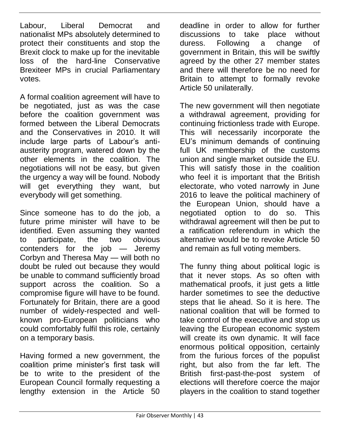Labour, Liberal Democrat and nationalist MPs absolutely determined to protect their constituents and stop the Brexit clock to make up for the inevitable loss of the hard-line Conservative Brexiteer MPs in crucial Parliamentary votes.

A formal coalition agreement will have to be negotiated, just as was the case before the coalition government was formed between the Liberal Democrats and the Conservatives in 2010. It will include large parts of Labour's antiausterity program, watered down by the other elements in the coalition. The negotiations will not be easy, but given the urgency a way will be found. Nobody will get everything they want, but everybody will get something.

Since someone has to do the job, a future prime minister will have to be identified. Even assuming they wanted to participate, the two obvious contenders for the job — Jeremy Corbyn and Theresa May — will both no doubt be ruled out because they would be unable to command sufficiently broad support across the coalition. So a compromise figure will have to be found. Fortunately for Britain, there are a good number of widely-respected and wellknown pro-European politicians who could comfortably fulfil this role, certainly on a temporary basis.

Having formed a new government, the coalition prime minister's first task will be to write to the president of the European Council formally requesting a lengthy extension in the Article 50

deadline in order to allow for further discussions to take place without duress. Following a change of government in Britain, this will be swiftly agreed by the other 27 member states and there will therefore be no need for Britain to attempt to formally revoke Article 50 unilaterally.

The new government will then negotiate a withdrawal agreement, providing for continuing frictionless trade with Europe. This will necessarily incorporate the EU's minimum demands of continuing full UK membership of the customs union and single market outside the EU. This will satisfy those in the coalition who feel it is important that the British electorate, who voted narrowly in June 2016 to leave the political machinery of the European Union, should have a negotiated option to do so. This withdrawal agreement will then be put to a ratification referendum in which the alternative would be to revoke Article 50 and remain as full voting members.

The funny thing about political logic is that it never stops. As so often with mathematical proofs, it just gets a little harder sometimes to see the deductive steps that lie ahead. So it is here. The national coalition that will be formed to take control of the executive and stop us leaving the European economic system will create its own dynamic. It will face enormous political opposition, certainly from the furious forces of the populist right, but also from the far left. The British first-past-the-post system of elections will therefore coerce the major players in the coalition to stand together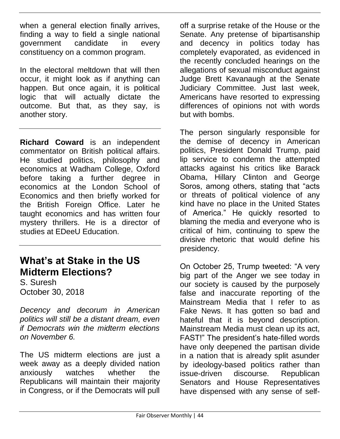when a general election finally arrives, finding a way to field a single national government candidate in every constituency on a common program.

In the electoral meltdown that will then occur, it might look as if anything can happen. But once again, it is political logic that will actually dictate the outcome. But that, as they say, is another story.

**Richard Coward** is an independent commentator on British political affairs. He studied politics, philosophy and economics at Wadham College, Oxford before taking a further degree in economics at the London School of Economics and then briefly worked for the British Foreign Office. Later he taught economics and has written four mystery thrillers. He is a director of studies at EDeeU Education.

#### **What's at Stake in the US Midterm Elections?**

S. Suresh October 30, 2018

*Decency and decorum in American politics will still be a distant dream, even if Democrats win the midterm elections on November 6.* 

The US midterm elections are just a week away as a deeply divided nation anxiously watches whether the Republicans will maintain their majority in Congress, or if the Democrats will pull

off a surprise retake of the House or the Senate. Any pretense of bipartisanship and decency in politics today has completely evaporated, as evidenced in the recently concluded hearings on the allegations of sexual misconduct against Judge Brett Kavanaugh at the Senate Judiciary Committee. Just last week, Americans have resorted to expressing differences of opinions not with words but with bombs.

The person singularly responsible for the demise of decency in American politics, President Donald Trump, paid lip service to condemn the attempted attacks against his critics like Barack Obama, Hillary Clinton and George Soros, among others, stating that "acts or threats of political violence of any kind have no place in the United States of America." He quickly resorted to blaming the media and everyone who is critical of him, continuing to spew the divisive rhetoric that would define his presidency.

On October 25, Trump tweeted: "A very big part of the Anger we see today in our society is caused by the purposely false and inaccurate reporting of the Mainstream Media that I refer to as Fake News. It has gotten so bad and hateful that it is beyond description. Mainstream Media must clean up its act, FAST!" The president's hate-filled words have only deepened the partisan divide in a nation that is already split asunder by ideology-based politics rather than issue-driven discourse. Republican Senators and House Representatives have dispensed with any sense of self-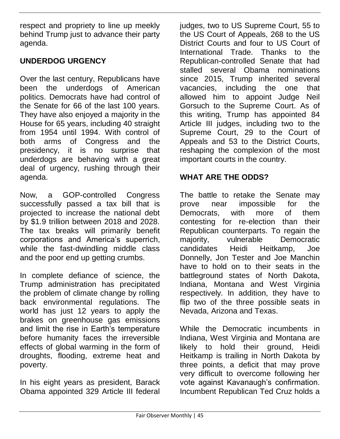respect and propriety to line up meekly behind Trump just to advance their party agenda.

#### **UNDERDOG URGENCY**

Over the last century, Republicans have been the underdogs of American politics. Democrats have had control of the Senate for 66 of the last 100 years. They have also enjoyed a majority in the House for 65 years, including 40 straight from 1954 until 1994. With control of both arms of Congress and the presidency, it is no surprise that underdogs are behaving with a great deal of urgency, rushing through their agenda.

Now, a GOP-controlled Congress successfully passed a tax bill that is projected to increase the national debt by \$1.9 trillion between 2018 and 2028. The tax breaks will primarily benefit corporations and America's superrich, while the fast-dwindling middle class and the poor end up getting crumbs.

In complete defiance of science, the Trump administration has precipitated the problem of climate change by rolling back environmental regulations. The world has just 12 years to apply the brakes on greenhouse gas emissions and limit the rise in Earth's temperature before humanity faces the irreversible effects of global warming in the form of droughts, flooding, extreme heat and poverty.

In his eight years as president, Barack Obama appointed 329 Article III federal

judges, two to US Supreme Court, 55 to the US Court of Appeals, 268 to the US District Courts and four to US Court of International Trade. Thanks to the Republican-controlled Senate that had stalled several Obama nominations since 2015, Trump inherited several vacancies, including the one that allowed him to appoint Judge Neil Gorsuch to the Supreme Court. As of this writing, Trump has appointed 84 Article III judges, including two to the Supreme Court, 29 to the Court of Appeals and 53 to the District Courts, reshaping the complexion of the most important courts in the country.

#### **WHAT ARE THE ODDS?**

The battle to retake the Senate may prove near impossible for the Democrats, with more of them contesting for re-election than their Republican counterparts. To regain the majority, vulnerable Democratic candidates Heidi Heitkamp, Joe Donnelly, Jon Tester and Joe Manchin have to hold on to their seats in the battleground states of North Dakota, Indiana, Montana and West Virginia respectively. In addition, they have to flip two of the three possible seats in Nevada, Arizona and Texas.

While the Democratic incumbents in Indiana, West Virginia and Montana are likely to hold their ground, Heidi Heitkamp is trailing in North Dakota by three points, a deficit that may prove very difficult to overcome following her vote against Kavanaugh's confirmation. Incumbent Republican Ted Cruz holds a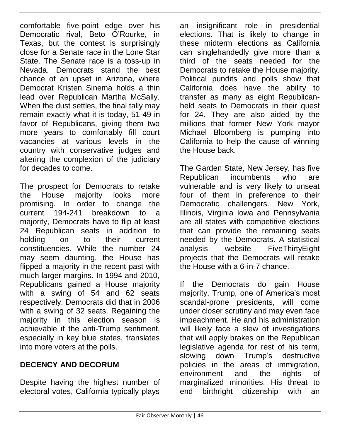comfortable five-point edge over his Democratic rival, Beto O'Rourke, in Texas, but the contest is surprisingly close for a Senate race in the Lone Star State. The Senate race is a toss-up in Nevada. Democrats stand the best chance of an upset in Arizona, where Democrat Kristen Sinema holds a thin lead over Republican Martha McSally. When the dust settles, the final tally may remain exactly what it is today, 51-49 in favor of Republicans, giving them two more years to comfortably fill court vacancies at various levels in the country with conservative judges and altering the complexion of the judiciary for decades to come.

The prospect for Democrats to retake the House majority looks more promising. In order to change the current 194-241 breakdown to a majority, Democrats have to flip at least 24 Republican seats in addition to holding on to their current constituencies. While the number 24 may seem daunting, the House has flipped a majority in the recent past with much larger margins. In 1994 and 2010, Republicans gained a House majority with a swing of 54 and 62 seats respectively. Democrats did that in 2006 with a swing of 32 seats. Regaining the majority in this election season is achievable if the anti-Trump sentiment, especially in key blue states, translates into more voters at the polls.

#### **DECENCY AND DECORUM**

Despite having the highest number of electoral votes, California typically plays

an insignificant role in presidential elections. That is likely to change in these midterm elections as California can singlehandedly give more than a third of the seats needed for the Democrats to retake the House majority. Political pundits and polls show that California does have the ability to transfer as many as eight Republicanheld seats to Democrats in their quest for 24. They are also aided by the millions that former New York mayor Michael Bloomberg is pumping into California to help the cause of winning the House back.

The Garden State, New Jersey, has five Republican incumbents who are vulnerable and is very likely to unseat four of them in preference to their Democratic challengers. New York, Illinois, Virginia Iowa and Pennsylvania are all states with competitive elections that can provide the remaining seats needed by the Democrats. A statistical analysis website FiveThirtyEight projects that the Democrats will retake the House with a 6-in-7 chance.

If the Democrats do gain House majority, Trump, one of America's most scandal-prone presidents, will come under closer scrutiny and may even face impeachment. He and his administration will likely face a slew of investigations that will apply brakes on the Republican legislative agenda for rest of his term, slowing down Trump's destructive policies in the areas of immigration, environment and the rights of marginalized minorities. His threat to end birthright citizenship with an